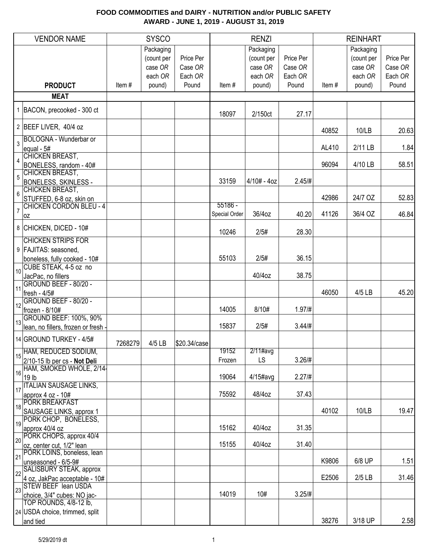|                 | <b>VENDOR NAME</b>                                                    |         | <b>SYSCO</b>                                  |                                 |                            | <b>RENZI</b>                                  |                                 |       | <b>REINHART</b>                               |                                 |
|-----------------|-----------------------------------------------------------------------|---------|-----------------------------------------------|---------------------------------|----------------------------|-----------------------------------------------|---------------------------------|-------|-----------------------------------------------|---------------------------------|
|                 |                                                                       |         | Packaging<br>(count per<br>case OR<br>each OR | Price Per<br>Case OR<br>Each OR |                            | Packaging<br>(count per<br>case OR<br>each OR | Price Per<br>Case OR<br>Each OR |       | Packaging<br>(count per<br>case OR<br>each OR | Price Per<br>Case OR<br>Each OR |
|                 | <b>PRODUCT</b>                                                        | Item#   | pound)                                        | Pound                           | Item#                      | pound)                                        | Pound                           | Item# | pound)                                        | Pound                           |
|                 | <b>MEAT</b>                                                           |         |                                               |                                 |                            |                                               |                                 |       |                                               |                                 |
|                 | 1 BACON, precooked - 300 ct                                           |         |                                               |                                 | 18097                      | 2/150ct                                       | 27.17                           |       |                                               |                                 |
|                 | 2 BEEF LIVER, 40/4 oz                                                 |         |                                               |                                 |                            |                                               |                                 | 40852 | 10/LB                                         | 20.63                           |
| $\overline{3}$  | <b>BOLOGNA - Wunderbar or</b><br>equal - 5#<br><b>CHICKEN BREAST,</b> |         |                                               |                                 |                            |                                               |                                 | AL410 | 2/11 LB                                       | 1.84                            |
| $\overline{4}$  | BONELESS, random - 40#                                                |         |                                               |                                 |                            |                                               |                                 | 96094 | 4/10 LB                                       | 58.51                           |
| $\overline{5}$  | <b>CHICKEN BREAST,</b><br>BONELESS, SKINLESS -<br>CHICKEN BREAST,     |         |                                               |                                 | 33159                      | $4/10# - 4oz$                                 | 2.45/#                          |       |                                               |                                 |
| $6\overline{6}$ | STUFFED, 6-8 oz, skin on                                              |         |                                               |                                 |                            |                                               |                                 | 42986 | 24/7 OZ                                       | 52.83                           |
| $\overline{7}$  | <b>CHICKEN CORDON BLEU - 4</b><br>0Z                                  |         |                                               |                                 | $55186 -$<br>Special Order | 36/4oz                                        | 40.20                           | 41126 | 36/4 OZ                                       | 46.84                           |
|                 | 8 CHICKEN, DICED - 10#                                                |         |                                               |                                 | 10246                      | 2/5#                                          | 28.30                           |       |                                               |                                 |
|                 | <b>CHICKEN STRIPS FOR</b><br>9 FAJITAS: seasoned,                     |         |                                               |                                 |                            |                                               |                                 |       |                                               |                                 |
|                 | boneless, fully cooked - 10#<br>CUBE STEAK, 4-5 oz no                 |         |                                               |                                 | 55103                      | 2/5#                                          | 36.15                           |       |                                               |                                 |
| 10              | JacPac, no fillers                                                    |         |                                               |                                 |                            | 40/4oz                                        | 38.75                           |       |                                               |                                 |
| 11              | GROUND BEEF - 80/20 -<br>fresh - 4/5#                                 |         |                                               |                                 |                            |                                               |                                 | 46050 | 4/5 LB                                        | 45.20                           |
| 12              | GROUND BEEF - 80/20 -<br>frozen - 8/10#                               |         |                                               |                                 | 14005                      | 8/10#                                         | 1.97/#                          |       |                                               |                                 |
| 13              | <b>GROUND BEEF: 100%, 90%</b><br>lean, no fillers, frozen or fresh -  |         |                                               |                                 | 15837                      | 2/5#                                          | 3.44/#                          |       |                                               |                                 |
|                 | 14 GROUND TURKEY - 4/5#                                               | 7268279 | 4/5 LB                                        | \$20.34/case                    |                            |                                               |                                 |       |                                               |                                 |
| 15              | HAM, REDUCED SODIUM,                                                  |         |                                               |                                 | 19152                      | $2/11$ #avg                                   |                                 |       |                                               |                                 |
|                 | 2/10-15 lb per cs - Not Deli<br>HAM, SMOKED WHOLE, 2/14-              |         |                                               |                                 | Frozen                     | LS                                            | 3.26/#                          |       |                                               |                                 |
| 16              | 19 lb<br><b>ITALIAN SAUSAGE LINKS,</b>                                |         |                                               |                                 | 19064                      | $4/15$ #avg                                   | 2.27 / #                        |       |                                               |                                 |
| 17              | approx $4$ oz - $10\#$                                                |         |                                               |                                 | 75592                      | 48/4oz                                        | 37.43                           |       |                                               |                                 |
|                 | 18 PORK BREAKFAST<br>SAUSAGE LINKS, approx 1                          |         |                                               |                                 |                            |                                               |                                 | 40102 | 10/LB                                         | 19.47                           |
| 19              | PORK CHOP, BONELESS,<br>approx 40/4 oz                                |         |                                               |                                 | 15162                      | 40/4oz                                        | 31.35                           |       |                                               |                                 |
| 20              | PORK CHOPS, approx 40/4<br>oz, center cut, 1/2" lean                  |         |                                               |                                 | 15155                      | 40/4oz                                        | 31.40                           |       |                                               |                                 |
| 21              | PORK LOINS, boneless, lean<br>unseasoned - 6/5-9#                     |         |                                               |                                 |                            |                                               |                                 | K9806 | 6/8 UP                                        | 1.51                            |
| 22              | SALISBURY STEAK, approx<br>4 oz, JakPac acceptable - 10#              |         |                                               |                                 |                            |                                               |                                 | E2506 | $2/5$ LB                                      | 31.46                           |
| 23              | STEW BEEF lean USDA<br>choice, 3/4" cubes: NO jac-                    |         |                                               |                                 | 14019                      | 10#                                           | 3.25/#                          |       |                                               |                                 |
|                 | TOP ROUNDS, 4/8-12 lb,                                                |         |                                               |                                 |                            |                                               |                                 |       |                                               |                                 |
|                 | 24 USDA choice, trimmed, split<br>and tied                            |         |                                               |                                 |                            |                                               |                                 | 38276 | 3/18 UP                                       | 2.58                            |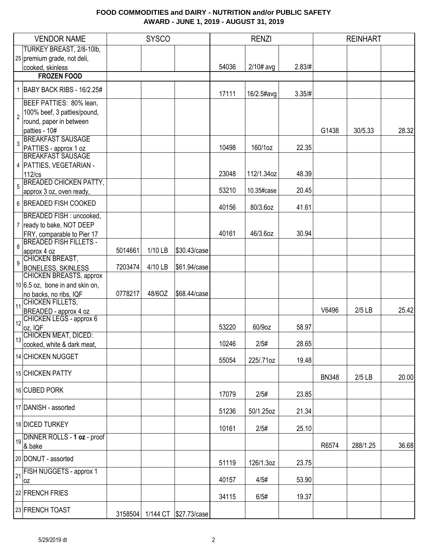|                | <b>VENDOR NAME</b>                                          |         | <b>SYSCO</b> |                               |       | <b>RENZI</b> |        |              | <b>REINHART</b> |       |
|----------------|-------------------------------------------------------------|---------|--------------|-------------------------------|-------|--------------|--------|--------------|-----------------|-------|
|                | TURKEY BREAST, 2/8-10lb,                                    |         |              |                               |       |              |        |              |                 |       |
|                | 25 premium grade, not deli,                                 |         |              |                               |       |              |        |              |                 |       |
|                | cooked, skinless                                            |         |              |                               | 54036 | $2/10#$ avg  | 2.83/# |              |                 |       |
|                | <b>FROZEN FOOD</b>                                          |         |              |                               |       |              |        |              |                 |       |
| $\mathbf{1}$   | BABY BACK RIBS - 16/2.25#                                   |         |              |                               | 17111 | 16/2.5#avg   | 3.35/# |              |                 |       |
|                | BEEF PATTIES: 80% lean,                                     |         |              |                               |       |              |        |              |                 |       |
| $\overline{2}$ | 100% beef, 3 patties/pound,                                 |         |              |                               |       |              |        |              |                 |       |
|                | round, paper in between                                     |         |              |                               |       |              |        |              |                 |       |
|                | patties - 10#                                               |         |              |                               |       |              |        | G1438        | 30/5.33         | 28.32 |
| $\overline{3}$ | <b>BREAKFAST SAUSAGE</b>                                    |         |              |                               |       |              |        |              |                 |       |
|                | PATTIES - approx 1 oz                                       |         |              |                               | 10498 | 160/1oz      | 22.35  |              |                 |       |
|                | <b>BREAKFAST SAUSAGE</b>                                    |         |              |                               |       |              |        |              |                 |       |
|                | 4   PATTIES, VEGETARIAN -                                   |         |              |                               |       |              |        |              |                 |       |
|                | 112/cs                                                      |         |              |                               | 23048 | 112/1.34oz   | 48.39  |              |                 |       |
| $\overline{5}$ | <b>BREADED CHICKEN PATTY,</b>                               |         |              |                               | 53210 | 10.35#case   | 20.45  |              |                 |       |
|                | approx 3 oz, oven ready,                                    |         |              |                               |       |              |        |              |                 |       |
|                | 6 BREADED FISH COOKED                                       |         |              |                               | 40156 | 80/3.6oz     | 41.61  |              |                 |       |
|                | <b>BREADED FISH: uncooked,</b>                              |         |              |                               |       |              |        |              |                 |       |
|                | 7 ready to bake, NOT DEEP                                   |         |              |                               | 40161 | 46/3.6oz     |        |              |                 |       |
|                | FRY, comparable to Pier 17<br><b>BREADED FISH FILLETS -</b> |         |              |                               |       |              | 30.94  |              |                 |       |
| $\,8\,$        | approx 4 oz                                                 | 5014661 | 1/10 LB      | \$30.43/case                  |       |              |        |              |                 |       |
|                | <b>CHICKEN BREAST,</b>                                      |         |              |                               |       |              |        |              |                 |       |
| $\overline{9}$ | <b>BONELESS, SKINLESS</b>                                   | 7203474 | 4/10 LB      | \$61.94/case                  |       |              |        |              |                 |       |
|                | CHICKEN BREASTS, approx                                     |         |              |                               |       |              |        |              |                 |       |
|                | $10 6.5$ oz, bone in and skin on,                           |         |              |                               |       |              |        |              |                 |       |
|                | no backs, no ribs, IQF                                      | 0778217 | 48/6OZ       | \$68.44/case                  |       |              |        |              |                 |       |
| $\vert$ 11     | CHICKEN FILLETS,                                            |         |              |                               |       |              |        |              |                 |       |
|                | BREADED - approx 4 oz                                       |         |              |                               |       |              |        | V6496        | $2/5$ LB        | 25.42 |
| 12             | <b>CHICKEN LEGS - approx 6</b>                              |         |              |                               | 53220 | 60/9oz       | 58.97  |              |                 |       |
|                | oz, IQF<br>CHICKEN MEAT, DICED:                             |         |              |                               |       |              |        |              |                 |       |
| 13             | cooked, white & dark meat,                                  |         |              |                               | 10246 | 2/5#         | 28.65  |              |                 |       |
|                |                                                             |         |              |                               |       |              |        |              |                 |       |
|                | 14 CHICKEN NUGGET                                           |         |              |                               | 55054 | 225/.71oz    | 19.48  |              |                 |       |
|                | 15 CHICKEN PATTY                                            |         |              |                               |       |              |        | <b>BN348</b> | $2/5$ LB        | 20.00 |
|                | 16 CUBED PORK                                               |         |              |                               |       |              |        |              |                 |       |
|                |                                                             |         |              |                               | 17079 | 2/5#         | 23.85  |              |                 |       |
|                | 17 DANISH - assorted                                        |         |              |                               | 51236 | 50/1.25oz    | 21.34  |              |                 |       |
|                | 18 DICED TURKEY                                             |         |              |                               | 10161 | 2/5#         | 25.10  |              |                 |       |
|                | 19 DINNER ROLLS - 1 oz - proof                              |         |              |                               |       |              |        |              |                 |       |
|                | & bake                                                      |         |              |                               |       |              |        | R6574        | 288/1.25        | 36.68 |
|                | 20 DONUT - assorted                                         |         |              |                               | 51119 | 126/1.3oz    | 23.75  |              |                 |       |
|                | 21 FISH NUGGETS - approx 1                                  |         |              |                               |       |              |        |              |                 |       |
|                | loz                                                         |         |              |                               | 40157 | 4/5#         | 53.90  |              |                 |       |
|                | 22 FRENCH FRIES                                             |         |              |                               | 34115 | 6/5#         | 19.37  |              |                 |       |
|                | 23 FRENCH TOAST                                             |         |              |                               |       |              |        |              |                 |       |
|                |                                                             |         |              | 3158504 1/144 CT \$27.73/case |       |              |        |              |                 |       |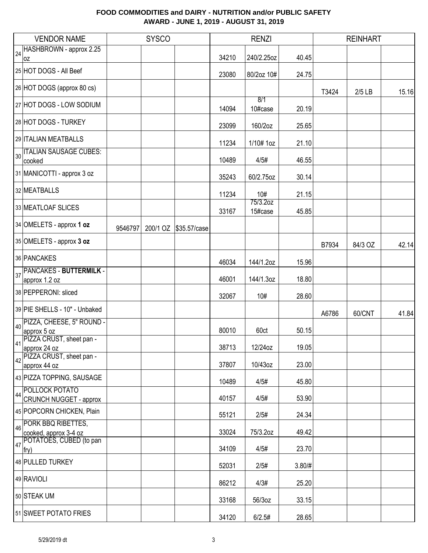|    | <b>VENDOR NAME</b>                                     |         | <b>SYSCO</b> |                       |       | <b>RENZI</b>        |        |       | <b>REINHART</b> |       |
|----|--------------------------------------------------------|---------|--------------|-----------------------|-------|---------------------|--------|-------|-----------------|-------|
|    | 24 HASHBROWN - approx 2.25                             |         |              |                       |       |                     |        |       |                 |       |
|    | 0Z                                                     |         |              |                       | 34210 | 240/2.25oz          | 40.45  |       |                 |       |
|    | 25 HOT DOGS - All Beef                                 |         |              |                       | 23080 | 80/2oz 10#          | 24.75  |       |                 |       |
|    | 26 HOT DOGS (approx 80 cs)                             |         |              |                       |       |                     |        | T3424 | $2/5$ LB        | 15.16 |
|    | 27 HOT DOGS - LOW SODIUM                               |         |              |                       | 14094 | 8/1<br>10#case      | 20.19  |       |                 |       |
|    | 28 HOT DOGS - TURKEY                                   |         |              |                       | 23099 | 160/2oz             | 25.65  |       |                 |       |
|    | 29 ITALIAN MEATBALLS                                   |         |              |                       | 11234 | 1/10# 1oz           | 21.10  |       |                 |       |
|    | 30 TALIAN SAUSAGE CUBES:<br>cooked                     |         |              |                       | 10489 | 4/5#                | 46.55  |       |                 |       |
|    | 31 MANICOTTI - approx 3 oz                             |         |              |                       | 35243 | 60/2.75oz           | 30.14  |       |                 |       |
|    | 32 MEATBALLS                                           |         |              |                       | 11234 | 10#                 | 21.15  |       |                 |       |
|    | 33 MEATLOAF SLICES                                     |         |              |                       | 33167 | 75/3.2oz<br>15#case | 45.85  |       |                 |       |
|    | 34 OMELETS - approx 1 oz                               | 9546797 |              | 200/1 OZ \$35.57/case |       |                     |        |       |                 |       |
|    | 35 OMELETS - approx 3 oz                               |         |              |                       |       |                     |        | B7934 | 84/3 OZ         | 42.14 |
|    | 36 PANCAKES                                            |         |              |                       | 46034 | 144/1.2oz           | 15.96  |       |                 |       |
| 37 | <b>PANCAKES - BUTTERMILK -</b>                         |         |              |                       |       |                     |        |       |                 |       |
|    | approx 1.2 oz                                          |         |              |                       | 46001 | 144/1.3oz           | 18.80  |       |                 |       |
|    | 38 PEPPERONI: sliced                                   |         |              |                       | 32067 | 10#                 | 28.60  |       |                 |       |
|    | 39 PIE SHELLS - 10" - Unbaked                          |         |              |                       |       |                     |        | A6786 | 60/CNT          | 41.84 |
|    | 40 PIZZA, CHEESE, 5" ROUND -<br>approx 5 oz            |         |              |                       | 80010 | 60ct                | 50.15  |       |                 |       |
|    | 41 PIZZA CRUST, sheet pan -<br>approx 24 oz            |         |              |                       | 38713 | 12/24oz             | 19.05  |       |                 |       |
| 42 | PIZZA CRUST, sheet pan -                               |         |              |                       |       |                     |        |       |                 |       |
|    | approx 44 oz<br>43 PIZZA TOPPING, SAUSAGE              |         |              |                       | 37807 | 10/43oz             | 23.00  |       |                 |       |
|    |                                                        |         |              |                       | 10489 | 4/5#                | 45.80  |       |                 |       |
| 44 | <b>POLLOCK POTATO</b><br><b>CRUNCH NUGGET - approx</b> |         |              |                       | 40157 | 4/5#                | 53.90  |       |                 |       |
|    | 45 POPCORN CHICKEN, Plain                              |         |              |                       | 55121 | 2/5#                | 24.34  |       |                 |       |
| 46 | <b>PORK BBQ RIBETTES,</b><br>cooked, approx 3-4 oz     |         |              |                       | 33024 | 75/3.2oz            | 49.42  |       |                 |       |
| 47 | POTATOES, CUBED (to pan<br>fry)                        |         |              |                       | 34109 | 4/5#                | 23.70  |       |                 |       |
|    | 48 PULLED TURKEY                                       |         |              |                       | 52031 | 2/5#                | 3.80/# |       |                 |       |
|    | 49 RAVIOLI                                             |         |              |                       | 86212 | 4/3#                | 25.20  |       |                 |       |
|    | 50 STEAK UM                                            |         |              |                       | 33168 | 56/3oz              | 33.15  |       |                 |       |
|    | 51 SWEET POTATO FRIES                                  |         |              |                       | 34120 | 6/2.5#              | 28.65  |       |                 |       |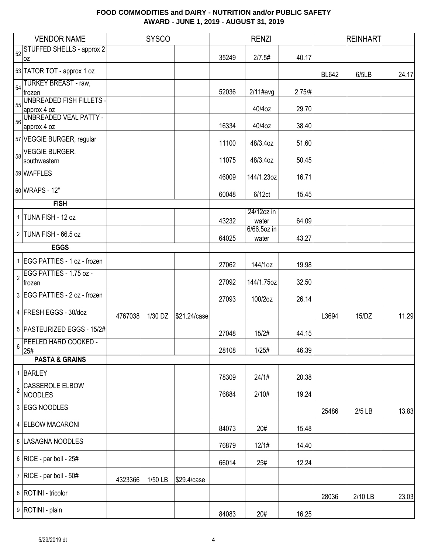|                | <b>VENDOR NAME</b>                       |         | <b>SYSCO</b> |              |       | <b>RENZI</b>        |        |              | <b>REINHART</b> |       |
|----------------|------------------------------------------|---------|--------------|--------------|-------|---------------------|--------|--------------|-----------------|-------|
| 52             | <b>STUFFED SHELLS - approx 2</b><br>0Z   |         |              |              | 35249 | 2/7.5#              | 40.17  |              |                 |       |
|                | 53 TATOR TOT - approx 1 oz               |         |              |              |       |                     |        | <b>BL642</b> | 6/5LB           | 24.17 |
| 54             | <b>TURKEY BREAST - raw,</b><br>frozen    |         |              |              | 52036 | $2/11$ #avg         | 2.75/H |              |                 |       |
|                | <b>UNBREADED FISH FILLETS -</b>          |         |              |              |       |                     |        |              |                 |       |
| 55             | approx 4 oz                              |         |              |              |       | 40/4oz              | 29.70  |              |                 |       |
|                | 56 UNBREADED VEAL PATTY -<br>approx 4 oz |         |              |              | 16334 | 40/4oz              | 38.40  |              |                 |       |
|                |                                          |         |              |              |       |                     |        |              |                 |       |
|                | 57 VEGGIE BURGER, regular                |         |              |              | 11100 | 48/3.4oz            | 51.60  |              |                 |       |
| 58             | <b>VEGGIE BURGER,</b><br>southwestern    |         |              |              | 11075 | 48/3.4oz            | 50.45  |              |                 |       |
|                | 59 WAFFLES                               |         |              |              |       |                     |        |              |                 |       |
|                |                                          |         |              |              | 46009 | 144/1.23oz          | 16.71  |              |                 |       |
|                | 60 WRAPS - 12"                           |         |              |              | 60048 | 6/12ct              | 15.45  |              |                 |       |
|                | <b>FISH</b>                              |         |              |              |       |                     |        |              |                 |       |
|                | 1 TUNA FISH - 12 oz                      |         |              |              | 43232 | 24/12oz in<br>water | 64.09  |              |                 |       |
|                |                                          |         |              |              |       | 6/66.5oz in         |        |              |                 |       |
|                | 2 TUNA FISH - 66.5 oz                    |         |              |              | 64025 | water               | 43.27  |              |                 |       |
|                | <b>EGGS</b>                              |         |              |              |       |                     |        |              |                 |       |
|                | 1 EGG PATTIES - 1 oz - frozen            |         |              |              | 27062 | 144/1oz             | 19.98  |              |                 |       |
| $\overline{2}$ | EGG PATTIES - 1.75 oz -<br>frozen        |         |              |              | 27092 | 144/1.75oz          | 32.50  |              |                 |       |
|                | 3 EGG PATTIES - 2 oz - frozen            |         |              |              | 27093 | 100/2oz             | 26.14  |              |                 |       |
|                | 4 FRESH EGGS - 30/doz                    | 4767038 | 1/30 DZ      | \$21.24/case |       |                     |        | L3694        | 15/DZ           | 11.29 |
|                | 5 PASTEURIZED EGGS - 15/2#               |         |              |              | 27048 | 15/2#               | 44.15  |              |                 |       |
|                | 6 PEELED HARD COOKED -<br>25#            |         |              |              | 28108 | 1/25#               | 46.39  |              |                 |       |
|                | <b>PASTA &amp; GRAINS</b>                |         |              |              |       |                     |        |              |                 |       |
|                | 1 BARLEY                                 |         |              |              |       |                     |        |              |                 |       |
|                |                                          |         |              |              | 78309 | 24/1#               | 20.38  |              |                 |       |
| $\overline{c}$ | <b>CASSEROLE ELBOW</b><br>NOODLES        |         |              |              | 76884 | 2/10#               | 19.24  |              |                 |       |
|                | 3 EGG NOODLES                            |         |              |              |       |                     |        | 25486        | $2/5$ LB        | 13.83 |
|                | 4 ELBOW MACARONI                         |         |              |              | 84073 | 20#                 | 15.48  |              |                 |       |
|                | 5 LASAGNA NOODLES                        |         |              |              | 76879 | 12/1#               | 14.40  |              |                 |       |
|                | 6 RICE - par boil - $25#$                |         |              |              | 66014 | 25#                 | 12.24  |              |                 |       |
|                | 7 RICE - par boil - $50#$                | 4323366 | 1/50 LB      | \$29.4/case  |       |                     |        |              |                 |       |
|                | 8   ROTINI - tricolor                    |         |              |              |       |                     |        | 28036        | 2/10 LB         | 23.03 |
|                | 9 ROTINI - plain                         |         |              |              | 84083 | 20#                 | 16.25  |              |                 |       |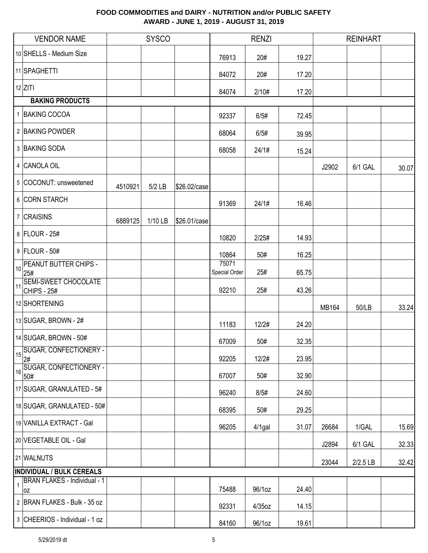|              | <b>VENDOR NAME</b>                        |         | <b>SYSCO</b> |              |                        | <b>RENZI</b> |       |       | <b>REINHART</b> |       |
|--------------|-------------------------------------------|---------|--------------|--------------|------------------------|--------------|-------|-------|-----------------|-------|
|              | 10 SHELLS - Medium Size                   |         |              |              | 76913                  | 20#          | 19.27 |       |                 |       |
|              | 11 SPAGHETTI                              |         |              |              | 84072                  | 20#          | 17.20 |       |                 |       |
|              | $12$ ZITI                                 |         |              |              | 84074                  | 2/10#        | 17.20 |       |                 |       |
|              | <b>BAKING PRODUCTS</b>                    |         |              |              |                        |              |       |       |                 |       |
|              | 1 BAKING COCOA                            |         |              |              | 92337                  | 6/5#         | 72.45 |       |                 |       |
|              | 2 BAKING POWDER                           |         |              |              | 68064                  | 6/5#         | 39.95 |       |                 |       |
|              | 3 BAKING SODA                             |         |              |              | 68058                  | 24/1#        | 15.24 |       |                 |       |
|              | 4 CANOLA OIL                              |         |              |              |                        |              |       | J2902 | 6/1 GAL         | 30.07 |
|              | 5 COCONUT: unsweetened                    | 4510921 | 5/2 LB       | \$26.02/case |                        |              |       |       |                 |       |
|              | 6 CORN STARCH                             |         |              |              | 91369                  | 24/1#        | 16.46 |       |                 |       |
|              | 7 CRAISINS                                | 6889125 | 1/10 LB      | \$26.01/case |                        |              |       |       |                 |       |
|              | 8 FLOUR - 25#                             |         |              |              | 10820                  | 2/25#        | 14.93 |       |                 |       |
|              | 9 FLOUR - 50#                             |         |              |              | 10864                  | 50#          | 16.25 |       |                 |       |
| 10           | PEANUT BUTTER CHIPS -<br>25#              |         |              |              | 75071<br>Special Order | 25#          | 65.75 |       |                 |       |
| $\vert$ 11   | SEMI-SWEET CHOCOLATE<br>CHIPS - 25#       |         |              |              | 92210                  | 25#          | 43.26 |       |                 |       |
|              | 12 SHORTENING                             |         |              |              |                        |              |       | MB164 | 50/LB           | 33.24 |
|              | 13 SUGAR, BROWN - 2#                      |         |              |              | 11183                  | 12/2#        | 24.20 |       |                 |       |
|              | 14 SUGAR, BROWN - 50#                     |         |              |              | 67009                  | 50#          | 32.35 |       |                 |       |
| 15           | <b>SUGAR, CONFECTIONERY -</b><br>2#       |         |              |              | 92205                  | 12/2#        | 23.95 |       |                 |       |
| 16           | SUGAR, CONFECTIONERY -<br>50#             |         |              |              | 67007                  | 50#          | 32.90 |       |                 |       |
|              | 17 SUGAR, GRANULATED - 5#                 |         |              |              | 96240                  | 8/5#         | 24.60 |       |                 |       |
|              | 18 SUGAR, GRANULATED - 50#                |         |              |              | 68395                  | 50#          | 29.25 |       |                 |       |
|              | 19 VANILLA EXTRACT - Gal                  |         |              |              | 96205                  | 4/1gal       | 31.07 | 26684 | 1/GAL           | 15.69 |
|              | 20 VEGETABLE OIL - Gal                    |         |              |              |                        |              |       | J2894 | 6/1 GAL         | 32.33 |
|              | 21 WALNUTS                                |         |              |              |                        |              |       | 23044 | 2/2.5 LB        | 32.42 |
|              | <b>INDIVIDUAL / BULK CEREALS</b>          |         |              |              |                        |              |       |       |                 |       |
| $\mathbf{1}$ | <b>BRAN FLAKES - Individual - 1</b><br>0Z |         |              |              | 75488                  | 96/1oz       | 24.40 |       |                 |       |
|              | 2 BRAN FLAKES - Bulk - 35 oz              |         |              |              | 92331                  | 4/35oz       | 14.15 |       |                 |       |
|              | 3 CHEERIOS - Individual - 1 oz            |         |              |              | 84160                  | 96/1oz       | 19.61 |       |                 |       |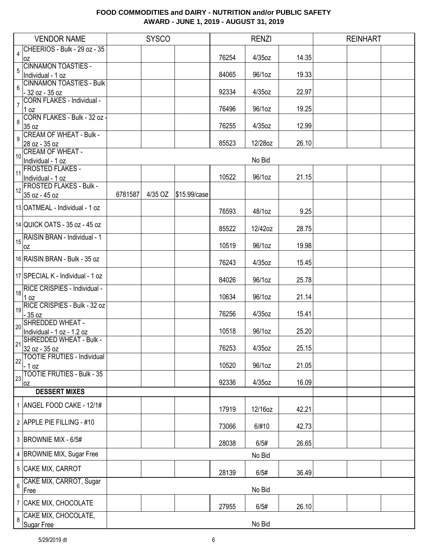|                         | <b>VENDOR NAME</b>                                   |         | <b>SYSCO</b> |              |       | <b>RENZI</b> |       | <b>REINHART</b> |  |
|-------------------------|------------------------------------------------------|---------|--------------|--------------|-------|--------------|-------|-----------------|--|
|                         | CHEERIOS - Bulk - 29 oz - 35                         |         |              |              |       |              |       |                 |  |
| $\overline{\mathbf{4}}$ | loz                                                  |         |              |              | 76254 | $4/35$ oz    | 14.35 |                 |  |
| 5                       | CINNAMON TOASTIES -                                  |         |              |              |       |              |       |                 |  |
|                         | Individual - 1 oz                                    |         |              |              | 84065 | 96/1oz       | 19.33 |                 |  |
| 6                       | <b>CINNAMON TOASTIES - Bulk</b><br>$-32$ oz $-35$ oz |         |              |              | 92334 | $4/35$ oz    | 22.97 |                 |  |
|                         | CORN FLAKES - Individual -                           |         |              |              |       |              |       |                 |  |
| $\overline{7}$          | $1$ oz                                               |         |              |              | 76496 | 96/1oz       | 19.25 |                 |  |
| 8                       | CORN FLAKES - Bulk - 32 oz                           |         |              |              |       |              |       |                 |  |
|                         | 35 oz                                                |         |              |              | 76255 | $4/35$ oz    | 12.99 |                 |  |
| 9                       | <b>CREAM OF WHEAT - Bulk -</b><br>28 oz - 35 oz      |         |              |              | 85523 | 12/28oz      | 26.10 |                 |  |
|                         | <b>CREAM OF WHEAT -</b>                              |         |              |              |       |              |       |                 |  |
| 10                      | Individual - 1 oz                                    |         |              |              |       | No Bid       |       |                 |  |
| 11                      | <b>FROSTED FLAKES -</b>                              |         |              |              |       |              |       |                 |  |
|                         | Individual - 1 oz                                    |         |              |              | 10522 | 96/1oz       | 21.15 |                 |  |
|                         | 12 FROSTED FLAKES - Bulk -                           |         |              |              |       |              |       |                 |  |
|                         | 35 oz - 45 oz                                        | 6781587 | 4/35 OZ      | \$15.99/case |       |              |       |                 |  |
|                         | 13 OATMEAL - Individual - 1 oz                       |         |              |              | 76593 | 48/1oz       | 9.25  |                 |  |
|                         |                                                      |         |              |              |       |              |       |                 |  |
|                         | 14 QUICK OATS - 35 oz - 45 oz                        |         |              |              | 85522 | 12/42oz      | 28.75 |                 |  |
|                         | 15 RAISIN BRAN - Individual - 1                      |         |              |              |       |              |       |                 |  |
|                         | 0Z                                                   |         |              |              | 10519 | 96/1oz       | 19.98 |                 |  |
|                         | 16 RAISIN BRAN - Bulk - 35 oz                        |         |              |              | 76243 | $4/35$ oz    | 15.45 |                 |  |
|                         |                                                      |         |              |              |       |              |       |                 |  |
|                         | 17 SPECIAL K - Individual - 1 oz                     |         |              |              | 84026 | 96/1oz       | 25.78 |                 |  |
|                         | 18 RICE CRISPIES - Individual -                      |         |              |              |       |              |       |                 |  |
|                         | 1 oz                                                 |         |              |              | 10634 | 96/1oz       | 21.14 |                 |  |
|                         | RICE CRISPIES - Bulk - 32 oz                         |         |              |              |       |              |       |                 |  |
|                         | $-35$ oz<br>SHREDDED WHEAT -                         |         |              |              | 76256 | $4/35$ oz    | 15.41 |                 |  |
| 20                      | Individual - 1 oz - 1.2 oz                           |         |              |              | 10518 | 96/1oz       | 25.20 |                 |  |
|                         | 21 SHREDDED WHEAT - Bulk -                           |         |              |              |       |              |       |                 |  |
|                         | 32 oz - 35 oz                                        |         |              |              | 76253 | 4/35oz       | 25.15 |                 |  |
| 22                      | <b>TOOTIE FRUTIES - Individual</b>                   |         |              |              |       |              |       |                 |  |
|                         | - 1 oz<br><b>TOOTIE FRUTIES - Bulk - 35</b>          |         |              |              | 10520 | 96/1oz       | 21.05 |                 |  |
| 23                      | 0Z                                                   |         |              |              | 92336 | $4/35$ oz    | 16.09 |                 |  |
|                         | <b>DESSERT MIXES</b>                                 |         |              |              |       |              |       |                 |  |
|                         | 1 ANGEL FOOD CAKE - 12/1#                            |         |              |              |       |              |       |                 |  |
|                         |                                                      |         |              |              | 17919 | 12/16oz      | 42.21 |                 |  |
|                         | 2 APPLE PIE FILLING - #10                            |         |              |              |       |              |       |                 |  |
|                         |                                                      |         |              |              | 73066 | 6/#10        | 42.73 |                 |  |
|                         | 3 BROWNIE MIX - 6/5#                                 |         |              |              | 28038 | 6/5#         | 26.65 |                 |  |
|                         | 4 BROWNIE MIX, Sugar Free                            |         |              |              |       |              |       |                 |  |
|                         |                                                      |         |              |              |       | No Bid       |       |                 |  |
|                         | 5 CAKE MIX, CARROT                                   |         |              |              | 28139 | 6/5#         | 36.49 |                 |  |
| 6                       | CAKE MIX, CARROT, Sugar                              |         |              |              |       |              |       |                 |  |
|                         | Free                                                 |         |              |              |       | No Bid       |       |                 |  |
|                         | 7 CAKE MIX, CHOCOLATE                                |         |              |              |       |              |       |                 |  |
|                         | CAKE MIX, CHOCOLATE,                                 |         |              |              | 27955 | 6/5#         | 26.10 |                 |  |
| 8                       | Sugar Free                                           |         |              |              |       | No Bid       |       |                 |  |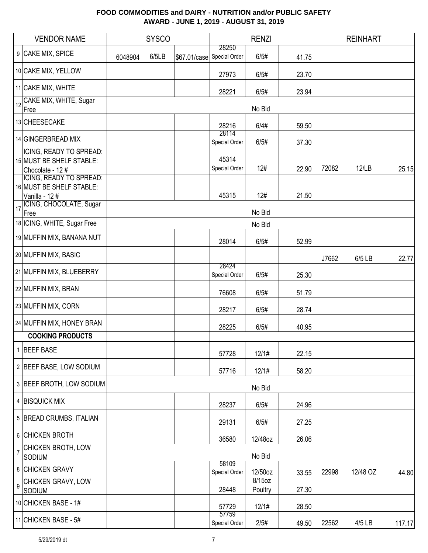|                  | <b>VENDOR NAME</b>                                                      |         | <b>SYSCO</b> |              |                        | <b>RENZI</b>      |       |       | <b>REINHART</b> |        |
|------------------|-------------------------------------------------------------------------|---------|--------------|--------------|------------------------|-------------------|-------|-------|-----------------|--------|
|                  | 9 CAKE MIX, SPICE                                                       | 6048904 | 6/5LB        | \$67.01/case | 28250<br>Special Order | 6/5#              | 41.75 |       |                 |        |
|                  | 10 CAKE MIX, YELLOW                                                     |         |              |              | 27973                  | 6/5#              | 23.70 |       |                 |        |
|                  | 11 CAKE MIX, WHITE                                                      |         |              |              | 28221                  | 6/5#              | 23.94 |       |                 |        |
| 12               | CAKE MIX, WHITE, Sugar<br>Free                                          |         |              |              |                        | No Bid            |       |       |                 |        |
|                  | 13 CHEESECAKE                                                           |         |              |              | 28216                  | 6/4#              | 59.50 |       |                 |        |
|                  | 14 GINGERBREAD MIX                                                      |         |              |              | 28114<br>Special Order | 6/5#              | 37.30 |       |                 |        |
|                  | ICING, READY TO SPREAD:<br>15 MUST BE SHELF STABLE:<br>Chocolate - 12 # |         |              |              | 45314<br>Special Order | 12#               | 22.90 | 72082 | 12/LB           | 25.15  |
|                  | ICING, READY TO SPREAD:<br>16 MUST BE SHELF STABLE:<br>Vanilla - 12#    |         |              |              | 45315                  | 12#               | 21.50 |       |                 |        |
| 17               | ICING, CHOCOLATE, Sugar<br>Free                                         |         |              |              |                        | No Bid            |       |       |                 |        |
|                  | 18 ICING, WHITE, Sugar Free                                             |         |              |              |                        | No Bid            |       |       |                 |        |
|                  | 19 MUFFIN MIX, BANANA NUT                                               |         |              |              | 28014                  | 6/5#              | 52.99 |       |                 |        |
|                  | 20 MUFFIN MIX, BASIC                                                    |         |              |              |                        |                   |       | J7662 | 6/5 LB          | 22.77  |
|                  | 21 MUFFIN MIX, BLUEBERRY                                                |         |              |              | 28424<br>Special Order | 6/5#              | 25.30 |       |                 |        |
|                  | 22 MUFFIN MIX, BRAN                                                     |         |              |              | 76608                  | 6/5#              | 51.79 |       |                 |        |
|                  | 23 MUFFIN MIX, CORN                                                     |         |              |              | 28217                  | 6/5#              | 28.74 |       |                 |        |
|                  | 24 MUFFIN MIX, HONEY BRAN                                               |         |              |              | 28225                  | 6/5#              | 40.95 |       |                 |        |
|                  | <b>COOKING PRODUCTS</b>                                                 |         |              |              |                        |                   |       |       |                 |        |
|                  | 1 BEEF BASE                                                             |         |              |              | 57728                  | 12/1#             | 22.15 |       |                 |        |
|                  | 2 BEEF BASE, LOW SODIUM                                                 |         |              |              | 57716                  | 12/1#             | 58.20 |       |                 |        |
|                  | 3 BEEF BROTH, LOW SODIUM                                                |         |              |              |                        | No Bid            |       |       |                 |        |
|                  | 4 BISQUICK MIX                                                          |         |              |              | 28237                  | 6/5#              | 24.96 |       |                 |        |
|                  | 5 BREAD CRUMBS, ITALIAN                                                 |         |              |              | 29131                  | 6/5#              | 27.25 |       |                 |        |
|                  | 6 CHICKEN BROTH                                                         |         |              |              | 36580                  | 12/48oz           | 26.06 |       |                 |        |
| $\overline{7}$   | <b>CHICKEN BROTH, LOW</b><br>SODIUM                                     |         |              |              |                        | No Bid            |       |       |                 |        |
|                  | 8 CHICKEN GRAVY                                                         |         |              |              | 58109<br>Special Order | 12/50oz           | 33.55 | 22998 | 12/48 OZ        | 44.80  |
| $\boldsymbol{9}$ | <b>CHICKEN GRAVY, LOW</b><br>SODIUM                                     |         |              |              | 28448                  | 8/15oz<br>Poultry | 27.30 |       |                 |        |
|                  | 10 CHICKEN BASE - 1#                                                    |         |              |              | 57729                  | 12/1#             | 28.50 |       |                 |        |
|                  | 11 CHICKEN BASE - $5#$                                                  |         |              |              | 57759<br>Special Order | 2/5#              | 49.50 | 22562 | 4/5 LB          | 117.17 |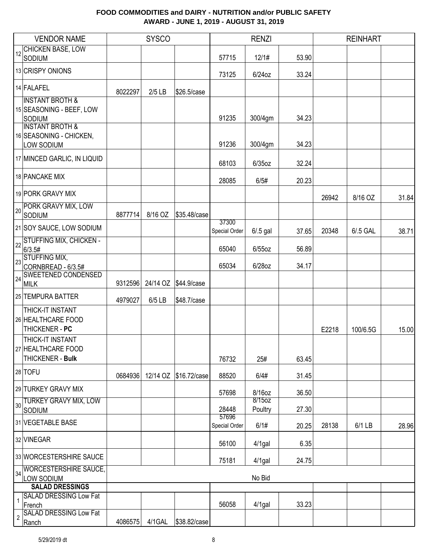|                | <b>VENDOR NAME</b>                                                                                                                      |         | <b>SYSCO</b> |                       |                        | <b>RENZI</b>       |                |       | <b>REINHART</b> |       |
|----------------|-----------------------------------------------------------------------------------------------------------------------------------------|---------|--------------|-----------------------|------------------------|--------------------|----------------|-------|-----------------|-------|
| 12             | CHICKEN BASE, LOW                                                                                                                       |         |              |                       |                        |                    |                |       |                 |       |
|                | SODIUM                                                                                                                                  |         |              |                       | 57715                  | 12/1#              | 53.90          |       |                 |       |
|                | 13 CRISPY ONIONS                                                                                                                        |         |              |                       | 73125                  | 6/24oz             | 33.24          |       |                 |       |
|                | 14 FALAFEL                                                                                                                              | 8022297 | $2/5$ LB     | \$26.5/case           |                        |                    |                |       |                 |       |
|                | <b>INSTANT BROTH &amp;</b><br>15 SEASONING - BEEF, LOW<br>SODIUM<br><b>INSTANT BROTH &amp;</b><br>16 SEASONING - CHICKEN,<br>LOW SODIUM |         |              |                       | 91235<br>91236         | 300/4gm<br>300/4gm | 34.23<br>34.23 |       |                 |       |
|                | 17 MINCED GARLIC, IN LIQUID                                                                                                             |         |              |                       |                        |                    |                |       |                 |       |
|                |                                                                                                                                         |         |              |                       | 68103                  | $6/35$ oz          | 32.24          |       |                 |       |
|                | 18 PANCAKE MIX                                                                                                                          |         |              |                       | 28085                  | 6/5#               | 20.23          |       |                 |       |
|                | 19 PORK GRAVY MIX                                                                                                                       |         |              |                       |                        |                    |                | 26942 | 8/16 OZ         | 31.84 |
| 20             | PORK GRAVY MIX, LOW<br>SODIUM                                                                                                           | 8877714 | 8/16 OZ      | \$35.48/case          |                        |                    |                |       |                 |       |
|                | 21 SOY SAUCE, LOW SODIUM                                                                                                                |         |              |                       | 37300<br>Special Order | $6/0.5$ gal        | 37.65          | 20348 | 6/.5 GAL        | 38.71 |
| 22             | <b>STUFFING MIX, CHICKEN -</b><br>6/3.5#                                                                                                |         |              |                       | 65040                  | $6/55$ oz          | 56.89          |       |                 |       |
|                | 23 STUFFING MIX,<br>CORNBREAD - 6/3.5#                                                                                                  |         |              |                       | 65034                  | 6/28oz             | 34.17          |       |                 |       |
| 24             | <b>SWEETENED CONDENSED</b><br><b>MILK</b>                                                                                               | 9312596 |              | 24/14 OZ \$44.9/case  |                        |                    |                |       |                 |       |
|                | 25 TEMPURA BATTER                                                                                                                       | 4979027 | 6/5 LB       | \$48.7/case           |                        |                    |                |       |                 |       |
|                | THICK-IT INSTANT<br>26 HEALTHCARE FOOD<br>THICKENER - PC                                                                                |         |              |                       |                        |                    |                | E2218 | 100/6.5G        | 15.00 |
|                | THICK-IT INSTANT<br>27 HEALTHCARE FOOD<br>THICKENER - Bulk                                                                              |         |              |                       | 76732                  | 25#                | 63.45          |       |                 |       |
|                | 28 TOFU                                                                                                                                 | 0684936 |              | 12/14 OZ \$16.72/case | 88520                  | 6/4#               | 31.45          |       |                 |       |
|                | 29 TURKEY GRAVY MIX<br>TURKEY GRAVY MIX, LOW                                                                                            |         |              |                       | 57698                  | 8/16oz<br>8/15oz   | 36.50          |       |                 |       |
| 30             | SODIUM                                                                                                                                  |         |              |                       | 28448<br>57696         | Poultry            | 27.30          |       |                 |       |
|                | 31 VEGETABLE BASE                                                                                                                       |         |              |                       | Special Order          | 6/1#               | 20.25          | 28138 | 6/1 LB          | 28.96 |
|                | 32 VINEGAR                                                                                                                              |         |              |                       | 56100                  | $4/1$ gal          | 6.35           |       |                 |       |
|                | 33 WORCESTERSHIRE SAUCE                                                                                                                 |         |              |                       | 75181                  | 4/1gal             | 24.75          |       |                 |       |
| 34             | <b>WORCESTERSHIRE SAUCE,</b><br>LOW SODIUM                                                                                              |         |              |                       |                        | No Bid             |                |       |                 |       |
|                | <b>SALAD DRESSINGS</b>                                                                                                                  |         |              |                       |                        |                    |                |       |                 |       |
|                | <b>SALAD DRESSING Low Fat</b>                                                                                                           |         |              |                       |                        |                    |                |       |                 |       |
| $\overline{2}$ | French<br><b>SALAD DRESSING Low Fat</b><br>Ranch                                                                                        | 4086575 | 4/1GAL       | \$38.82/case          | 56058                  | $4/1$ gal          | 33.23          |       |                 |       |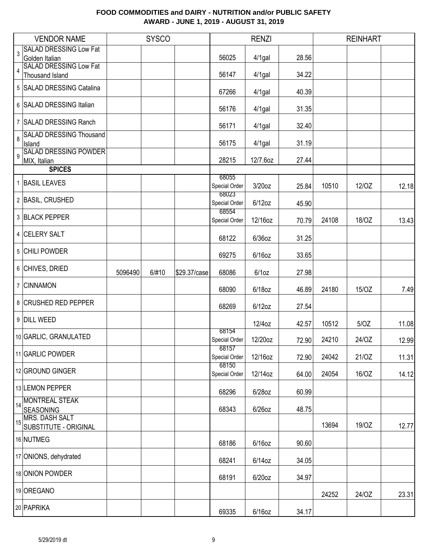|    | <b>VENDOR NAME</b>                              |         | <b>SYSCO</b> |              |                        | <b>RENZI</b> |       |       | <b>REINHART</b> |       |
|----|-------------------------------------------------|---------|--------------|--------------|------------------------|--------------|-------|-------|-----------------|-------|
| 3  | <b>SALAD DRESSING Low Fat</b>                   |         |              |              |                        |              |       |       |                 |       |
|    | Golden Italian<br><b>SALAD DRESSING Low Fat</b> |         |              |              | 56025                  | $4/1$ gal    | 28.56 |       |                 |       |
| 4  | Thousand Island                                 |         |              |              | 56147                  | $4/1$ gal    | 34.22 |       |                 |       |
|    | 5 SALAD DRESSING Catalina                       |         |              |              | 67266                  | 4/1gal       | 40.39 |       |                 |       |
|    | 6 SALAD DRESSING Italian                        |         |              |              | 56176                  | 4/1gal       | 31.35 |       |                 |       |
|    | 7 SALAD DRESSING Ranch                          |         |              |              | 56171                  | $4/1$ gal    | 32.40 |       |                 |       |
| 8  | <b>SALAD DRESSING Thousand</b><br>Island        |         |              |              | 56175                  | 4/1gal       | 31.19 |       |                 |       |
| 9  | <b>SALAD DRESSING POWDER</b><br>MIX, Italian    |         |              |              | 28215                  | 12/7.6oz     | 27.44 |       |                 |       |
|    | <b>SPICES</b>                                   |         |              |              |                        |              |       |       |                 |       |
|    | 1 BASIL LEAVES                                  |         |              |              | 68055<br>Special Order | $3/20$ oz    | 25.84 | 10510 | 12/OZ           | 12.18 |
|    | 2 BASIL, CRUSHED                                |         |              |              | 68023<br>Special Order | $6/12$ oz    | 45.90 |       |                 |       |
|    | 3 BLACK PEPPER                                  |         |              |              | 68554<br>Special Order | 12/16oz      | 70.79 | 24108 | 18/OZ           | 13.43 |
|    | 4 CELERY SALT                                   |         |              |              | 68122                  | $6/36$ oz    | 31.25 |       |                 |       |
|    | 5 CHILI POWDER                                  |         |              |              | 69275                  | $6/16$ oz    | 33.65 |       |                 |       |
|    | 6 CHIVES, DRIED                                 | 5096490 | 6/#10        | \$29.37/case | 68086                  | $6/1$ oz     | 27.98 |       |                 |       |
|    | 7 CINNAMON                                      |         |              |              | 68090                  | $6/18$ oz    | 46.89 | 24180 | 15/OZ           | 7.49  |
|    | 8 CRUSHED RED PEPPER                            |         |              |              | 68269                  | $6/12$ oz    | 27.54 |       |                 |       |
|    | 9 DILL WEED                                     |         |              |              |                        | 12/4oz       | 42.57 | 10512 | 5/OZ            | 11.08 |
|    | 10 GARLIC, GRANULATED                           |         |              |              | 68154<br>Special Order | 12/20oz      | 72.90 | 24210 | 24/OZ           | 12.99 |
|    | 11 GARLIC POWDER                                |         |              |              | 68157<br>Special Order | 12/16oz      | 72.90 | 24042 | 21/OZ           | 11.31 |
|    | 12 GROUND GINGER                                |         |              |              | 68150<br>Special Order | 12/14oz      | 64.00 | 24054 | 16/OZ           | 14.12 |
|    | 13 LEMON PEPPER                                 |         |              |              | 68296                  | $6/28$ oz    | 60.99 |       |                 |       |
| 14 | <b>MONTREAL STEAK</b><br><b>SEASONING</b>       |         |              |              | 68343                  | 6/26oz       | 48.75 |       |                 |       |
| 15 | MRS. DASH SALT<br>SUBSTITUTE - ORIGINAL         |         |              |              |                        |              |       | 13694 | 19/OZ           | 12.77 |
|    | 16 NUTMEG                                       |         |              |              | 68186                  | $6/16$ oz    | 90.60 |       |                 |       |
|    | 17 ONIONS, dehydrated                           |         |              |              | 68241                  | 6/14oz       | 34.05 |       |                 |       |
|    | 18 ONION POWDER                                 |         |              |              | 68191                  | $6/20$ oz    | 34.97 |       |                 |       |
|    | 19 OREGANO                                      |         |              |              |                        |              |       | 24252 | 24/OZ           | 23.31 |
|    | 20 PAPRIKA                                      |         |              |              | 69335                  | $6/16$ oz    | 34.17 |       |                 |       |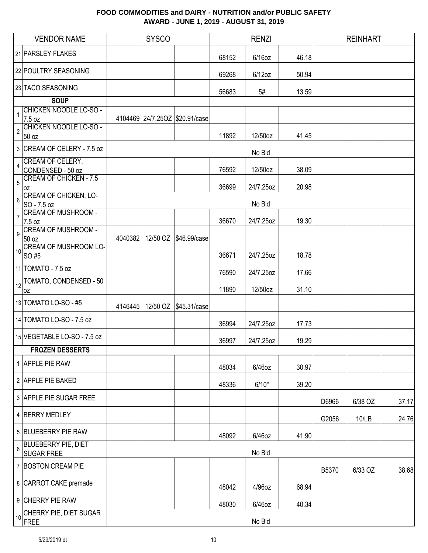|                | <b>VENDOR NAME</b>                                 |         | <b>SYSCO</b> |                                |       | <b>RENZI</b> |       |       | <b>REINHART</b> |       |
|----------------|----------------------------------------------------|---------|--------------|--------------------------------|-------|--------------|-------|-------|-----------------|-------|
|                | 21 PARSLEY FLAKES                                  |         |              |                                | 68152 | $6/16$ oz    | 46.18 |       |                 |       |
|                | 22 POULTRY SEASONING                               |         |              |                                | 69268 | 6/12oz       | 50.94 |       |                 |       |
|                | 23 TACO SEASONING                                  |         |              |                                | 56683 | 5#           | 13.59 |       |                 |       |
|                | <b>SOUP</b>                                        |         |              |                                |       |              |       |       |                 |       |
| 1              | <b>CHICKEN NOODLE LO-SO -</b>                      |         |              |                                |       |              |       |       |                 |       |
|                | 7.5 oz                                             |         |              | 4104469 24/7.25OZ \$20.91/case |       |              |       |       |                 |       |
| $\overline{2}$ | CHICKEN NOODLE LO-SO -<br>50 oz                    |         |              |                                | 11892 | 12/50oz      | 41.45 |       |                 |       |
|                |                                                    |         |              |                                |       |              |       |       |                 |       |
|                | 3 CREAM OF CELERY - 7.5 oz                         |         |              |                                |       | No Bid       |       |       |                 |       |
| 4              | CREAM OF CELERY,                                   |         |              |                                |       |              |       |       |                 |       |
|                | CONDENSED - 50 oz<br><b>CREAM OF CHICKEN - 7.5</b> |         |              |                                | 76592 | 12/50oz      | 38.09 |       |                 |       |
| 5              | 0Z                                                 |         |              |                                | 36699 | 24/7.25oz    | 20.98 |       |                 |       |
| 6              | <b>CREAM OF CHICKEN, LO-</b>                       |         |              |                                |       |              |       |       |                 |       |
|                | SO - 7.5 oz                                        |         |              |                                |       | No Bid       |       |       |                 |       |
| 7              | <b>CREAM OF MUSHROOM -</b>                         |         |              |                                |       | 24/7.25oz    |       |       |                 |       |
|                | 7.5 oz<br><b>CREAM OF MUSHROOM -</b>               |         |              |                                | 36670 |              | 19.30 |       |                 |       |
| 9              | 50 oz                                              | 4040382 |              | 12/50 OZ \$46.99/case          |       |              |       |       |                 |       |
|                | <b>CREAM OF MUSHROOM LO-</b>                       |         |              |                                |       |              |       |       |                 |       |
| 10             | SO #5                                              |         |              |                                | 36671 | 24/7.25oz    | 18.78 |       |                 |       |
|                | 11 TOMATO - 7.5 oz                                 |         |              |                                | 76590 | 24/7.25oz    | 17.66 |       |                 |       |
| 12             | TOMATO, CONDENSED - 50                             |         |              |                                |       |              |       |       |                 |       |
|                | 0Z                                                 |         |              |                                | 11890 | 12/50oz      | 31.10 |       |                 |       |
|                | 13 TOMATO LO-SO - #5                               | 4146445 |              | 12/50 OZ \$45.31/case          |       |              |       |       |                 |       |
|                | 14 TOMATO LO-SO - 7.5 oz                           |         |              |                                | 36994 | 24/7.25oz    | 17.73 |       |                 |       |
|                | 15 VEGETABLE LO-SO - 7.5 oz                        |         |              |                                | 36997 | 24/7.25oz    | 19.29 |       |                 |       |
|                | <b>FROZEN DESSERTS</b>                             |         |              |                                |       |              |       |       |                 |       |
|                |                                                    |         |              |                                |       |              |       |       |                 |       |
|                | 1 APPLE PIE RAW                                    |         |              |                                | 48034 | 6/46oz       | 30.97 |       |                 |       |
|                | 2 APPLE PIE BAKED                                  |         |              |                                | 48336 | 6/10"        | 39.20 |       |                 |       |
|                |                                                    |         |              |                                |       |              |       |       |                 |       |
|                | 3 APPLE PIE SUGAR FREE                             |         |              |                                |       |              |       | D6966 | 6/38 OZ         | 37.17 |
|                | 4 BERRY MEDLEY                                     |         |              |                                |       |              |       | G2056 | 10/LB           | 24.76 |
|                | 5 BLUEBERRY PIE RAW                                |         |              |                                | 48092 | 6/46oz       | 41.90 |       |                 |       |
|                | <b>BLUEBERRY PIE, DIET</b>                         |         |              |                                |       |              |       |       |                 |       |
| 6              | <b>SUGAR FREE</b>                                  |         |              |                                |       | No Bid       |       |       |                 |       |
|                | 7 BOSTON CREAM PIE                                 |         |              |                                |       |              |       | B5370 | 6/33 OZ         | 38.68 |
|                | 8 CARROT CAKE premade                              |         |              |                                | 48042 | 4/96oz       | 68.94 |       |                 |       |
|                | 9 CHERRY PIE RAW                                   |         |              |                                | 48030 | 6/46oz       | 40.34 |       |                 |       |
| 10             | CHERRY PIE, DIET SUGAR<br>FRFF                     |         |              |                                |       | No Bid       |       |       |                 |       |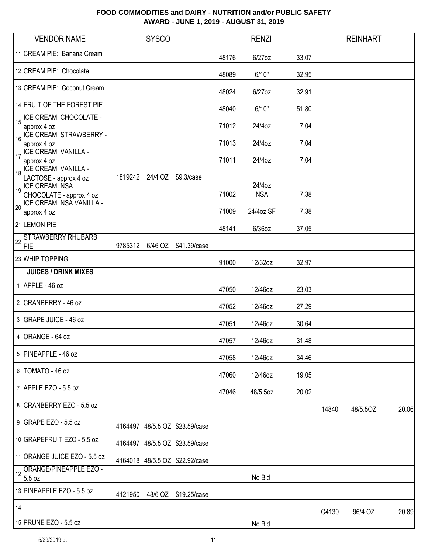|                                          | <b>VENDOR NAME</b>                                                                                             |         | <b>SYSCO</b> |                                |       | <b>RENZI</b>         |       |       | <b>REINHART</b> |       |
|------------------------------------------|----------------------------------------------------------------------------------------------------------------|---------|--------------|--------------------------------|-------|----------------------|-------|-------|-----------------|-------|
|                                          | 11 CREAM PIE: Banana Cream                                                                                     |         |              |                                | 48176 | 6/27oz               | 33.07 |       |                 |       |
|                                          | 12 CREAM PIE: Chocolate                                                                                        |         |              |                                | 48089 | 6/10"                | 32.95 |       |                 |       |
|                                          | 13 CREAM PIE: Coconut Cream                                                                                    |         |              |                                | 48024 | $6/27$ oz            | 32.91 |       |                 |       |
|                                          | 14 FRUIT OF THE FOREST PIE                                                                                     |         |              |                                | 48040 | 6/10"                | 51.80 |       |                 |       |
|                                          | 15 ICE CREAM, CHOCOLATE -<br>approx 4 oz                                                                       |         |              |                                | 71012 | 24/4oz               | 7.04  |       |                 |       |
| $\frac{1}{16}$                           | <b>ICE CREAM, STRAWBERRY -</b><br>approx 4 oz                                                                  |         |              |                                | 71013 | 24/4oz               | 7.04  |       |                 |       |
| $\frac{1}{17}$                           | ICE CREAM, VANILLA -<br>approx 4 oz                                                                            |         |              |                                | 71011 | 24/4oz               | 7.04  |       |                 |       |
| $\begin{array}{c} \hline \end{array}$ 18 | ICE CREAM, VANILLA -<br>LACTOSE - approx 4 oz                                                                  | 1819242 | 24/4 OZ      | \$9.3/case                     |       |                      |       |       |                 |       |
|                                          | <b>ICE CREAM, NSA</b><br>19 ICE UREANS, IL. 1970<br>CHOCOLATE - approx 4 oz<br><b>ICE CREAM, NSA VANILLA -</b> |         |              |                                | 71002 | 24/4oz<br><b>NSA</b> | 7.38  |       |                 |       |
| 20                                       | approx 4 oz                                                                                                    |         |              |                                | 71009 | 24/4oz SF            | 7.38  |       |                 |       |
|                                          | 21 LEMON PIE                                                                                                   |         |              |                                | 48141 | 6/36oz               | 37.05 |       |                 |       |
| 22                                       | <b>STRAWBERRY RHUBARB</b><br>PIE                                                                               | 9785312 | 6/46 OZ      | \$41.39/case                   |       |                      |       |       |                 |       |
|                                          | 23 WHIP TOPPING                                                                                                |         |              |                                | 91000 | 12/32oz              | 32.97 |       |                 |       |
|                                          | <b>JUICES / DRINK MIXES</b>                                                                                    |         |              |                                |       |                      |       |       |                 |       |
|                                          | 1 APPLE - 46 oz                                                                                                |         |              |                                | 47050 | 12/46oz              | 23.03 |       |                 |       |
|                                          | 2 CRANBERRY - 46 oz                                                                                            |         |              |                                | 47052 | 12/46oz              | 27.29 |       |                 |       |
|                                          | 3 GRAPE JUICE - 46 oz                                                                                          |         |              |                                | 47051 | 12/46oz              | 30.64 |       |                 |       |
|                                          | $4$ ORANGE - 64 oz                                                                                             |         |              |                                | 47057 | 12/46oz              | 31.48 |       |                 |       |
|                                          | 5 PINEAPPLE - 46 oz                                                                                            |         |              |                                | 47058 | 12/46oz              | 34.46 |       |                 |       |
|                                          | 6   TOMATO - 46 oz                                                                                             |         |              |                                | 47060 | 12/46oz              | 19.05 |       |                 |       |
|                                          | 7 APPLE EZO - 5.5 oz                                                                                           |         |              |                                | 47046 | 48/5.5oz             | 20.02 |       |                 |       |
|                                          | 8 CRANBERRY EZO - 5.5 oz                                                                                       |         |              |                                |       |                      |       | 14840 | 48/5.5OZ        | 20.06 |
|                                          | $9$ GRAPE EZO - 5.5 oz                                                                                         | 4164497 |              | 48/5.5 OZ \$23.59/case         |       |                      |       |       |                 |       |
|                                          | 10 GRAPEFRUIT EZO - 5.5 oz                                                                                     | 4164497 |              | 48/5.5 OZ \$23.59/case         |       |                      |       |       |                 |       |
|                                          | 11 ORANGE JUICE EZO - 5.5 oz                                                                                   |         |              | 4164018 48/5.5 OZ \$22.92/case |       |                      |       |       |                 |       |
| 12                                       | ORANGE/PINEAPPLE EZO -<br>5.5 oz                                                                               |         |              |                                |       | No Bid               |       |       |                 |       |
|                                          | 13 PINEAPPLE EZO - 5.5 oz                                                                                      | 4121950 | 48/6 OZ      | \$19.25/case                   |       |                      |       |       |                 |       |
| 14                                       |                                                                                                                |         |              |                                |       |                      |       | C4130 | 96/4 OZ         | 20.89 |
|                                          | 15 PRUNE EZO - 5.5 oz                                                                                          |         |              |                                |       | No Bid               |       |       |                 |       |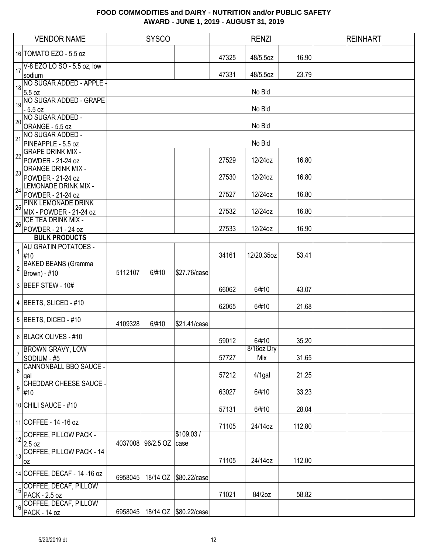|                | <b>VENDOR NAME</b>                                |         | <b>SYSCO</b>   |                       |       | <b>RENZI</b>      |        | <b>REINHART</b> |
|----------------|---------------------------------------------------|---------|----------------|-----------------------|-------|-------------------|--------|-----------------|
|                | 16 TOMATO EZO - 5.5 oz                            |         |                |                       | 47325 | 48/5.5oz          | 16.90  |                 |
| 17             | V-8 EZO LO SO - 5.5 oz, low<br>sodium             |         |                |                       | 47331 | 48/5.5oz          | 23.79  |                 |
| 18             | NO SUGAR ADDED - APPLE -<br>5.5 oz                |         |                |                       |       | No Bid            |        |                 |
| $\boxed{19}$   | NO SUGAR ADDED - GRAPE<br>$-5.5$ oz               |         |                |                       |       | No Bid            |        |                 |
| 20             | NO SUGAR ADDED -<br>ORANGE - 5.5 oz               |         |                |                       |       | No Bid            |        |                 |
| 21             | NO SUGAR ADDED -<br>PINEAPPLE - 5.5 oz            |         |                |                       |       | No Bid            |        |                 |
| 22             | <b>GRAPE DRINK MIX -</b><br>POWDER - 21-24 oz     |         |                |                       | 27529 | 12/24oz           | 16.80  |                 |
| 23             | <b>ORANGE DRINK MIX -</b><br>POWDER - 21-24 oz    |         |                |                       | 27530 | 12/24oz           | 16.80  |                 |
| 24             | <b>LEMONADE DRINK MIX -</b><br>POWDER - 21-24 oz  |         |                |                       | 27527 | 12/24oz           | 16.80  |                 |
| 25             | PINK LEMONADE DRINK<br>MIX - POWDER - 21-24 oz    |         |                |                       | 27532 | 12/24oz           | 16.80  |                 |
| 26             | <b>ICE TEA DRINK MIX -</b><br>POWDER - 21 - 24 oz |         |                |                       | 27533 | 12/24oz           | 16.90  |                 |
|                | <b>BULK PRODUCTS</b>                              |         |                |                       |       |                   |        |                 |
| $\mathbf{1}$   | <b>AU GRATIN POTATOES -</b><br>#10                |         |                |                       | 34161 | 12/20.35oz        | 53.41  |                 |
| $\sqrt{2}$     | <b>BAKED BEANS (Gramma</b><br>Brown) - #10        | 5112107 | 6/#10          | \$27.76/case          |       |                   |        |                 |
|                | 3 BEEF STEW - 10#                                 |         |                |                       | 66062 | 6/#10             | 43.07  |                 |
|                | 4 BEETS, SLICED - #10                             |         |                |                       | 62065 | 6/#10             | 21.68  |                 |
|                | $5$ BEETS, DICED - #10                            | 4109328 | 6/#10          | \$21.41/case          |       |                   |        |                 |
|                | 6 BLACK OLIVES - #10                              |         |                |                       | 59012 | 6/#10             | 35.20  |                 |
| 7              | <b>BROWN GRAVY, LOW</b><br>SODIUM - #5            |         |                |                       | 57727 | 8/16oz Dry<br>Mix | 31.65  |                 |
| 8              | <b>CANNONBALL BBQ SAUCE -</b><br>gal              |         |                |                       | 57212 | $4/1$ gal         | 21.25  |                 |
| $\overline{9}$ | CHEDDAR CHEESE SAUCE -<br>#10                     |         |                |                       | 63027 | 6/#10             | 33.23  |                 |
|                | 10 CHILI SAUCE - #10                              |         |                |                       | 57131 | 6/#10             | 28.04  |                 |
|                | 11 COFFEE - 14 -16 oz                             |         |                |                       | 71105 | 24/14oz           | 112.80 |                 |
| 12             | <b>COFFEE, PILLOW PACK -</b><br>2.5 oz            | 4037008 | 96/2.5 OZ case | \$109.03/             |       |                   |        |                 |
| 13             | COFFEE, PILLOW PACK - 14<br>0Z                    |         |                |                       | 71105 | 24/14oz           | 112.00 |                 |
|                | 14 COFFEE, DECAF - 14 -16 oz                      | 6958045 |                | 18/14 OZ \$80.22/case |       |                   |        |                 |
| 15             | COFFEE, DECAF, PILLOW<br>PACK - 2.5 oz            |         |                |                       | 71021 | 84/2oz            | 58.82  |                 |
| 16             | COFFEE, DECAF, PILLOW<br>PACK - 14 oz             | 6958045 |                | 18/14 OZ \$80.22/case |       |                   |        |                 |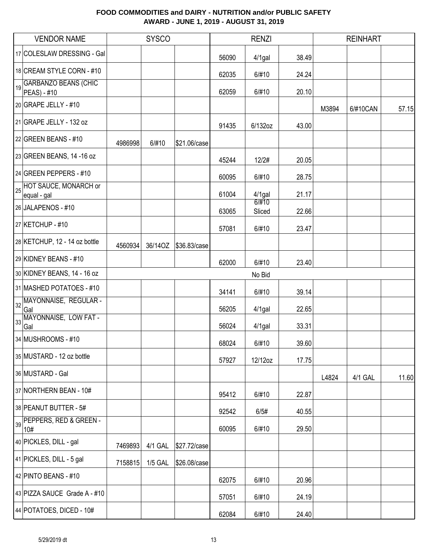|    | <b>VENDOR NAME</b>                         |         | <b>SYSCO</b>   |              |       | <b>RENZI</b>    |       |       | <b>REINHART</b> |       |
|----|--------------------------------------------|---------|----------------|--------------|-------|-----------------|-------|-------|-----------------|-------|
|    | 17 COLESLAW DRESSING - Gal                 |         |                |              | 56090 | $4/1$ gal       | 38.49 |       |                 |       |
|    | 18 CREAM STYLE CORN - #10                  |         |                |              | 62035 | 6/#10           | 24.24 |       |                 |       |
| 19 | <b>GARBANZO BEANS (CHIC</b><br>PEAS) - #10 |         |                |              | 62059 | 6/#10           | 20.10 |       |                 |       |
|    | $20$ GRAPE JELLY - #10                     |         |                |              |       |                 |       | M3894 | 6/#10CAN        | 57.15 |
|    | 21 GRAPE JELLY - 132 oz                    |         |                |              | 91435 | 6/132oz         | 43.00 |       |                 |       |
|    | 22 GREEN BEANS - $#10$                     | 4986998 | 6/#10          | \$21.06/case |       |                 |       |       |                 |       |
|    | 23 GREEN BEANS, 14 -16 oz                  |         |                |              | 45244 | 12/2#           | 20.05 |       |                 |       |
|    | 24 GREEN PEPPERS - #10                     |         |                |              | 60095 | 6/#10           | 28.75 |       |                 |       |
|    | 25 HOT SAUCE, MONARCH or<br>equal - gal    |         |                |              | 61004 | $4/1$ gal       | 21.17 |       |                 |       |
|    | 26 JALAPENOS - #10                         |         |                |              | 63065 | 6/#10<br>Sliced | 22.66 |       |                 |       |
|    | 27 KETCHUP - #10                           |         |                |              | 57081 | 6/#10           | 23.47 |       |                 |       |
|    | 28 KETCHUP, 12 - 14 oz bottle              | 4560934 | 36/14OZ        | \$36.83/case |       |                 |       |       |                 |       |
|    | 29 KIDNEY BEANS - #10                      |         |                |              | 62000 | 6/#10           | 23.40 |       |                 |       |
|    | 30 KIDNEY BEANS, 14 - 16 oz                |         |                |              |       | No Bid          |       |       |                 |       |
|    | 31 MASHED POTATOES - #10                   |         |                |              | 34141 | 6/#10           | 39.14 |       |                 |       |
| 32 | MAYONNAISE, REGULAR -<br>Gal               |         |                |              | 56205 | $4/1$ gal       | 22.65 |       |                 |       |
| 33 | MAYONNAISE, LOW FAT -<br>Gal               |         |                |              | 56024 | 4/1gal          | 33.31 |       |                 |       |
|    | 34 MUSHROOMS - #10                         |         |                |              | 68024 | 6/#10           | 39.60 |       |                 |       |
|    | 35 MUSTARD - 12 oz bottle                  |         |                |              | 57927 | 12/12oz         | 17.75 |       |                 |       |
|    | 36 MUSTARD - Gal                           |         |                |              |       |                 |       | L4824 | 4/1 GAL         | 11.60 |
|    | 37 NORTHERN BEAN - 10#                     |         |                |              | 95412 | 6/#10           | 22.87 |       |                 |       |
|    | 38 PEANUT BUTTER - 5#                      |         |                |              | 92542 | 6/5#            | 40.55 |       |                 |       |
|    | PEPPERS, RED & GREEN -<br>10#              |         |                |              | 60095 | 6/#10           | 29.50 |       |                 |       |
|    | 40 PICKLES, DILL - gal                     | 7469893 | 4/1 GAL        | \$27.72/case |       |                 |       |       |                 |       |
|    | 41 PICKLES, DILL - 5 gal                   | 7158815 | <b>1/5 GAL</b> | \$26.08/case |       |                 |       |       |                 |       |
|    | 42 PINTO BEANS - $#10$                     |         |                |              | 62075 | 6/#10           | 20.96 |       |                 |       |
|    | 43 PIZZA SAUCE Grade A - #10               |         |                |              | 57051 | 6/#10           | 24.19 |       |                 |       |
|    | 44 POTATOES, DICED - 10#                   |         |                |              | 62084 | 6/#10           | 24.40 |       |                 |       |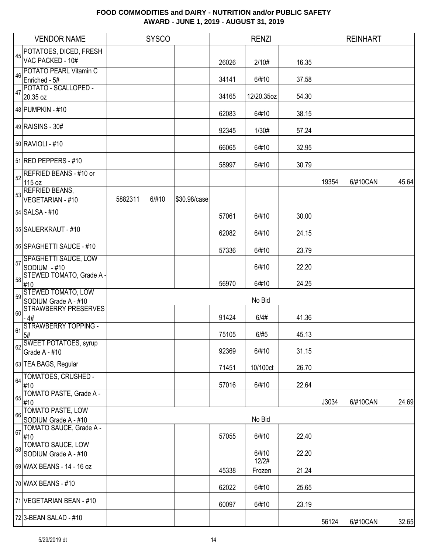|                 | <b>VENDOR NAME</b>                                 |         | <b>SYSCO</b> |              |       | <b>RENZI</b> |       |       | <b>REINHART</b> |       |
|-----------------|----------------------------------------------------|---------|--------------|--------------|-------|--------------|-------|-------|-----------------|-------|
|                 | <b>POTATOES, DICED, FRESH</b>                      |         |              |              |       |              |       |       |                 |       |
|                 | VAC PACKED - 10#                                   |         |              |              | 26026 | 2/10#        | 16.35 |       |                 |       |
| 46              | <b>POTATO PEARL Vitamin C</b><br>Enriched - 5#     |         |              |              | 34141 | 6/#10        | 37.58 |       |                 |       |
|                 | POTATO - SCALLOPED -                               |         |              |              |       |              |       |       |                 |       |
| $\overline{47}$ | 20.35 oz                                           |         |              |              | 34165 | 12/20.35oz   | 54.30 |       |                 |       |
|                 | 48 PUMPKIN - #10                                   |         |              |              | 62083 | 6/#10        | 38.15 |       |                 |       |
|                 | 49 RAISINS - 30#                                   |         |              |              | 92345 | 1/30#        | 57.24 |       |                 |       |
|                 | 50 RAVIOLI - #10                                   |         |              |              | 66065 | 6/#10        | 32.95 |       |                 |       |
|                 | 51 RED PEPPERS - #10                               |         |              |              | 58997 | 6/#10        | 30.79 |       |                 |       |
|                 | B <sub>52</sub> REFRIED BEANS - #10 or             |         |              |              |       |              |       |       |                 |       |
|                 | 115 oz                                             |         |              |              |       |              |       | 19354 | 6/#10CAN        | 45.64 |
|                 | 53<br>Saltings = SEANS,<br><b>VEGETARIAN - #10</b> | 5882311 | 6/#10        | \$30.98/case |       |              |       |       |                 |       |
|                 | 54 SALSA - #10                                     |         |              |              |       |              |       |       |                 |       |
|                 |                                                    |         |              |              | 57061 | 6/#10        | 30.00 |       |                 |       |
|                 | 55 SAUERKRAUT - #10                                |         |              |              | 62082 | 6/#10        | 24.15 |       |                 |       |
|                 | 56 SPAGHETTI SAUCE - #10                           |         |              |              | 57336 | 6/#10        | 23.79 |       |                 |       |
| 57              | <b>SPAGHETTI SAUCE, LOW</b><br>SODIUM - #10        |         |              |              |       | 6/#10        | 22.20 |       |                 |       |
|                 | 58 STEWED TOMATO, Grade A -                        |         |              |              |       |              |       |       |                 |       |
|                 | #10                                                |         |              |              | 56970 | 6/#10        | 24.25 |       |                 |       |
| 59              | <b>STEWED TOMATO, LOW</b><br>SODIUM Grade A - #10  |         |              |              |       | No Bid       |       |       |                 |       |
| 60              | <b>STRAWBERRY PRESERVES</b>                        |         |              |              |       |              |       |       |                 |       |
|                 | $-4#$<br><b>STRAWBERRY TOPPING -</b>               |         |              |              | 91424 | 6/4#         | 41.36 |       |                 |       |
| 61              | 5#                                                 |         |              |              | 75105 | 6/#5         | 45.13 |       |                 |       |
| 62              | <b>SWEET POTATOES, syrup</b>                       |         |              |              |       |              |       |       |                 |       |
|                 | Grade A - #10                                      |         |              |              | 92369 | 6/#10        | 31.15 |       |                 |       |
|                 | 63 TEA BAGS, Regular                               |         |              |              | 71451 | 10/100ct     | 26.70 |       |                 |       |
|                 | 64 TOMATOES, CRUSHED -<br>#10                      |         |              |              | 57016 | 6/#10        | 22.64 |       |                 |       |
| 65              | TOMATO PASTE, Grade A -                            |         |              |              |       |              |       |       |                 |       |
|                 | #10<br><b>TOMATO PASTE, LOW</b>                    |         |              |              |       |              |       | J3034 | 6/#10CAN        | 24.69 |
| 66              | SODIUM Grade A - #10                               |         |              |              |       | No Bid       |       |       |                 |       |
| 67              | TOMATO SAUCE, Grade A -                            |         |              |              |       |              |       |       |                 |       |
|                 | #10                                                |         |              |              | 57055 | 6/#10        | 22.40 |       |                 |       |
| 68              | <b>TOMATO SAUCE, LOW</b><br>SODIUM Grade A - #10   |         |              |              |       | 6/#10        | 22.20 |       |                 |       |
|                 | 69 WAX BEANS - 14 - 16 oz                          |         |              |              |       | 12/2#        |       |       |                 |       |
|                 |                                                    |         |              |              | 45338 | Frozen       | 21.24 |       |                 |       |
|                 | 70 WAX BEANS - #10                                 |         |              |              | 62022 | 6/#10        | 25.65 |       |                 |       |
|                 | 71 VEGETARIAN BEAN - #10                           |         |              |              | 60097 | 6/#10        | 23.19 |       |                 |       |
|                 | 72 3-BEAN SALAD - #10                              |         |              |              |       |              |       | 56124 | 6/#10CAN        | 32.65 |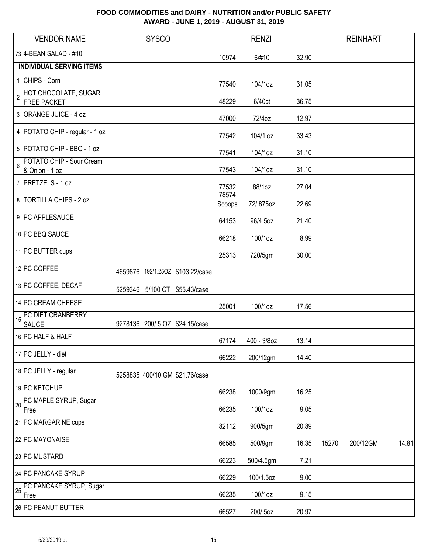|    | <b>VENDOR NAME</b>                           |         | <b>SYSCO</b> |                                  |                 | <b>RENZI</b> |       |       | <b>REINHART</b> |       |
|----|----------------------------------------------|---------|--------------|----------------------------------|-----------------|--------------|-------|-------|-----------------|-------|
|    | 73 4-BEAN SALAD - #10                        |         |              |                                  | 10974           | 6/#10        | 32.90 |       |                 |       |
|    | <b>INDIVIDUAL SERVING ITEMS</b>              |         |              |                                  |                 |              |       |       |                 |       |
|    | 1 CHIPS - Corn                               |         |              |                                  | 77540           | 104/1oz      | 31.05 |       |                 |       |
|    | 2 HOT CHOCOLATE, SUGAR<br><b>FREE PACKET</b> |         |              |                                  | 48229           | 6/40ct       | 36.75 |       |                 |       |
|    | 3 ORANGE JUICE - 4 oz                        |         |              |                                  | 47000           | 72/4oz       | 12.97 |       |                 |       |
|    | 4   POTATO CHIP - regular - 1 oz             |         |              |                                  | 77542           | 104/1 oz     | 33.43 |       |                 |       |
|    | 5 POTATO CHIP - BBQ - 1 oz                   |         |              |                                  | 77541           | 104/1oz      | 31.10 |       |                 |       |
| 6  | POTATO CHIP - Sour Cream<br>& Onion - 1 oz   |         |              |                                  | 77543           | 104/1oz      | 31.10 |       |                 |       |
|    | 7 PRETZELS - 1 oz                            |         |              |                                  | 77532           | 88/1oz       | 27.04 |       |                 |       |
|    | 8 TORTILLA CHIPS - 2 oz                      |         |              |                                  | 78574<br>Scoops | 72/.875oz    | 22.69 |       |                 |       |
|    | 9 PC APPLESAUCE                              |         |              |                                  | 64153           | 96/4.5oz     | 21.40 |       |                 |       |
|    | 10 PC BBQ SAUCE                              |         |              |                                  | 66218           | 100/1oz      | 8.99  |       |                 |       |
|    | 11 PC BUTTER cups                            |         |              |                                  | 25313           | 720/5gm      | 30.00 |       |                 |       |
|    | 12 PC COFFEE                                 |         |              | 4659876 192/1.250Z \$103.22/case |                 |              |       |       |                 |       |
|    | 13 PC COFFEE, DECAF                          | 5259346 |              | 5/100 CT \$55.43/case            |                 |              |       |       |                 |       |
|    | 14 PC CREAM CHEESE                           |         |              |                                  | 25001           | 100/1oz      | 17.56 |       |                 |       |
| 15 | PC DIET CRANBERRY<br><b>SAUCE</b>            | 9278136 |              | 200/.5 OZ \$24.15/case           |                 |              |       |       |                 |       |
|    | 16 PC HALF & HALF                            |         |              |                                  | 67174           | 400 - 3/8oz  | 13.14 |       |                 |       |
|    | 17 PC JELLY - diet                           |         |              |                                  | 66222           | 200/12gm     | 14.40 |       |                 |       |
|    | 18 PC JELLY - regular                        |         |              | 5258835 400/10 GM \$21.76/case   |                 |              |       |       |                 |       |
|    | 19 PC KETCHUP                                |         |              |                                  | 66238           | 1000/9gm     | 16.25 |       |                 |       |
| 20 | PC MAPLE SYRUP, Sugar<br>Free                |         |              |                                  | 66235           | 100/1oz      | 9.05  |       |                 |       |
|    | 21 PC MARGARINE cups                         |         |              |                                  | 82112           | 900/5gm      | 20.89 |       |                 |       |
|    | 22 PC MAYONAISE                              |         |              |                                  | 66585           | 500/9gm      | 16.35 | 15270 | 200/12GM        | 14.81 |
|    | 23 PC MUSTARD                                |         |              |                                  | 66223           | 500/4.5gm    | 7.21  |       |                 |       |
|    | 24 PC PANCAKE SYRUP                          |         |              |                                  | 66229           | 100/1.5oz    | 9.00  |       |                 |       |
| 25 | PC PANCAKE SYRUP, Sugar<br>Free              |         |              |                                  | 66235           | 100/1oz      | 9.15  |       |                 |       |
|    | 26 PC PEANUT BUTTER                          |         |              |                                  | 66527           | 200/.5oz     | 20.97 |       |                 |       |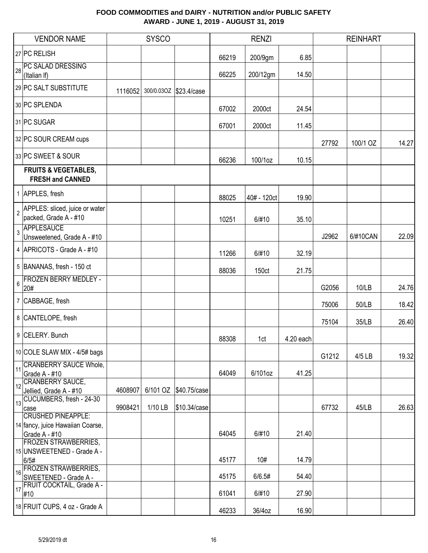| <b>VENDOR NAME</b>                                                                  |         | <b>SYSCO</b> |                        |                | <b>RENZI</b>  |                |       | <b>REINHART</b> |       |
|-------------------------------------------------------------------------------------|---------|--------------|------------------------|----------------|---------------|----------------|-------|-----------------|-------|
| 27 PC RELISH                                                                        |         |              |                        | 66219          | 200/9gm       | 6.85           |       |                 |       |
| PC SALAD DRESSING<br>28<br>(Italian If)                                             |         |              |                        | 66225          | 200/12gm      | 14.50          |       |                 |       |
| 29 PC SALT SUBSTITUTE                                                               | 1116052 |              | 300/0.03OZ \$23.4/case |                |               |                |       |                 |       |
| 30 PC SPLENDA                                                                       |         |              |                        | 67002          | 2000ct        | 24.54          |       |                 |       |
| 31 PC SUGAR                                                                         |         |              |                        | 67001          | 2000ct        | 11.45          |       |                 |       |
| 32 PC SOUR CREAM cups                                                               |         |              |                        |                |               |                | 27792 | 100/1 OZ        | 14.27 |
| 33 PC SWEET & SOUR                                                                  |         |              |                        | 66236          | 100/1oz       | 10.15          |       |                 |       |
| <b>FRUITS &amp; VEGETABLES,</b><br><b>FRESH and CANNED</b>                          |         |              |                        |                |               |                |       |                 |       |
| 1 APPLES, fresh                                                                     |         |              |                        | 88025          | 40# - 120ct   | 19.90          |       |                 |       |
| APPLES: sliced, juice or water<br>$\overline{2}$<br>packed, Grade A - #10           |         |              |                        | 10251          | 6/#10         | 35.10          |       |                 |       |
| APPLESAUCE<br>$\overline{3}$<br>Unsweetened, Grade A - #10                          |         |              |                        |                |               |                | J2962 | 6/#10CAN        | 22.09 |
| 4 APRICOTS - Grade A - #10                                                          |         |              |                        | 11266          | 6/#10         | 32.19          |       |                 |       |
| 5 BANANAS, fresh - 150 ct                                                           |         |              |                        | 88036          | 150ct         | 21.75          |       |                 |       |
| <b>FROZEN BERRY MEDLEY -</b><br>6<br>20#                                            |         |              |                        |                |               |                | G2056 | 10/LB           | 24.76 |
| 7 CABBAGE, fresh                                                                    |         |              |                        |                |               |                | 75006 | 50/LB           | 18.42 |
| 8 CANTELOPE, fresh                                                                  |         |              |                        |                |               |                | 75104 | 35/LB           | 26.40 |
| 9 CELERY. Bunch                                                                     |         |              |                        | 88308          | 1ct           | 4.20 each      |       |                 |       |
| 10 COLE SLAW MIX - 4/5# bags                                                        |         |              |                        |                |               |                | G1212 | 4/5 LB          | 19.32 |
| <b>CRANBERRY SAUCE Whole,</b><br>11<br>Grade A - #10                                |         |              |                        | 64049          | 6/101oz       | 41.25          |       |                 |       |
| <b>CRANBERRY SAUCE,</b><br>12<br>Jellied, Grade A - #10<br>CUCUMBERS, fresh - 24-30 | 4608907 | 6/101 OZ     | \$40.75/case           |                |               |                |       |                 |       |
| 13 <sup>1</sup><br>case<br><b>CRUSHED PINEAPPLE:</b>                                | 9908421 | 1/10 LB      | \$10.34/case           |                |               |                | 67732 | 45/LB           | 26.63 |
| 14 fancy, juice Hawaiian Coarse,<br>Grade A - #10                                   |         |              |                        | 64045          | 6/#10         | 21.40          |       |                 |       |
| <b>FROZEN STRAWBERRIES,</b><br>15 UNSWEETENED - Grade A -                           |         |              |                        |                |               |                |       |                 |       |
| 6/5#<br><b>FROZEN STRAWBERRIES,</b><br>16<br>SWEETENED - Grade A -                  |         |              |                        | 45177<br>45175 | 10#<br>6/6.5# | 14.79<br>54.40 |       |                 |       |
| FRUIT COCKTAIL, Grade A -<br>17<br>#10                                              |         |              |                        | 61041          | 6/#10         | 27.90          |       |                 |       |
| 18 FRUIT CUPS, 4 oz - Grade A                                                       |         |              |                        | 46233          | 36/4oz        | 16.90          |       |                 |       |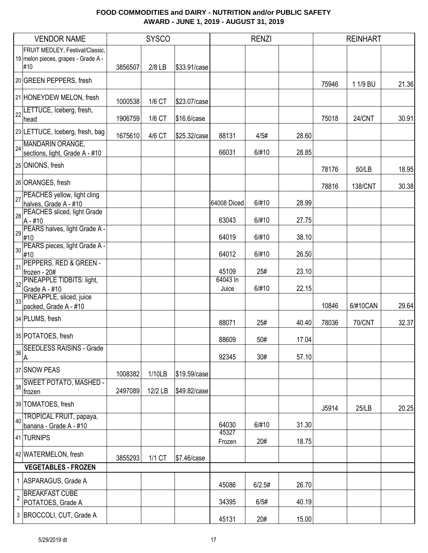|            | <b>VENDOR NAME</b>                                    |         | <b>SYSCO</b> |              |                   | <b>RENZI</b> |       |       | <b>REINHART</b> |       |
|------------|-------------------------------------------------------|---------|--------------|--------------|-------------------|--------------|-------|-------|-----------------|-------|
|            | FRUIT MEDLEY, Festival/Classic,                       |         |              |              |                   |              |       |       |                 |       |
|            | 19 melon pieces, grapes - Grade A -<br>#10            | 3856507 | 2/8 LB       | \$33.91/case |                   |              |       |       |                 |       |
|            | 20 GREEN PEPPERS, fresh                               |         |              |              |                   |              |       | 75946 | 1 1/9 BU        | 21.36 |
|            | 21 HONEYDEW MELON, fresh                              | 1000538 | 1/6 CT       | \$23.07/case |                   |              |       |       |                 |       |
| 22         | LETTUCE, Iceberg, fresh,<br>head                      | 1906759 | 1/6 CT       | \$16.6/case  |                   |              |       | 75018 | 24/CNT          | 30.91 |
|            | 23 LETTUCE, Iceberg, fresh, bag                       | 1675610 | 4/6 CT       | \$25.32/case | 88131             | 4/5#         | 28.60 |       |                 |       |
|            | 24 MANDARIN ORANGE,<br>sections, light, Grade A - #10 |         |              |              | 66031             | 6/#10        | 28.85 |       |                 |       |
|            | 25 ONIONS, fresh                                      |         |              |              |                   |              |       | 78176 | 50/LB           | 18.95 |
|            | 26 ORANGES, fresh                                     |         |              |              |                   |              |       | 78816 | <b>138/CNT</b>  | 30.38 |
| 27         | PEACHES yellow, light cling<br>halves, Grade A - #10  |         |              |              | 64008 Diced       | 6/#10        | 28.99 |       |                 |       |
| 28         | PEACHES sliced, light Grade<br>$A - #10$              |         |              |              | 63043             | 6/#10        | 27.75 |       |                 |       |
| 29         | PEARS halves, light Grade A -<br>#10                  |         |              |              | 64019             | 6/#10        | 38.10 |       |                 |       |
| 30         | PEARS pieces, light Grade A -<br>#10                  |         |              |              | 64012             | 6/#10        | 26.50 |       |                 |       |
| 31         | PEPPERS, RED & GREEN -<br>frozen - 20#                |         |              |              | 45109             | 25#          | 23.10 |       |                 |       |
| 32         | PINEAPPLE TIDBITS: light,<br>Grade A - #10            |         |              |              | 64043 In<br>Juice | 6/#10        | 22.15 |       |                 |       |
| 33         | PINEAPPLE, sliced, juice<br>packed, Grade A - #10     |         |              |              |                   |              |       | 10846 | 6/#10CAN        | 29.64 |
|            | 34 PLUMS, fresh                                       |         |              |              | 88071             | 25#          | 40.40 | 78036 | <b>70/CNT</b>   | 32.37 |
|            | 35 POTATOES, fresh                                    |         |              |              |                   |              |       |       |                 |       |
| 36         | <b>SEEDLESS RAISINS - Grade</b>                       |         |              |              | 88609             | 50#          | 17.04 |       |                 |       |
|            | A<br>37 SNOW PEAS                                     |         |              |              | 92345             | 30#          | 57.10 |       |                 |       |
| 38         | <b>SWEET POTATO, MASHED -</b>                         | 1008382 | 1/10LB       | \$19.59/case |                   |              |       |       |                 |       |
|            | frozen                                                | 2497089 | 12/2 LB      | \$49.82/case |                   |              |       |       |                 |       |
|            | 39 TOMATOES, fresh<br>TROPICAL FRUIT, papaya,         |         |              |              |                   |              |       | J5914 | 25/LB           | 20.25 |
| 40         | banana - Grade A - #10                                |         |              |              | 64030<br>45327    | 6/#10        | 31.30 |       |                 |       |
|            | 41 TURNIPS                                            |         |              |              | Frozen            | 20#          | 18.75 |       |                 |       |
|            | 42 WATERMELON, fresh                                  | 3855293 | 1/1 CT       | \$7.46/case  |                   |              |       |       |                 |       |
|            | <b>VEGETABLES - FROZEN</b>                            |         |              |              |                   |              |       |       |                 |       |
|            | 1 ASPARAGUS, Grade A                                  |         |              |              | 45086             | 6/2.5#       | 26.70 |       |                 |       |
| $\sqrt{2}$ | <b>BREAKFAST CUBE</b><br>POTATOES, Grade A            |         |              |              | 34395             | 6/5#         | 40.19 |       |                 |       |
|            | 3 BROCCOLI, CUT, Grade A                              |         |              |              | 45131             | 20#          | 15.00 |       |                 |       |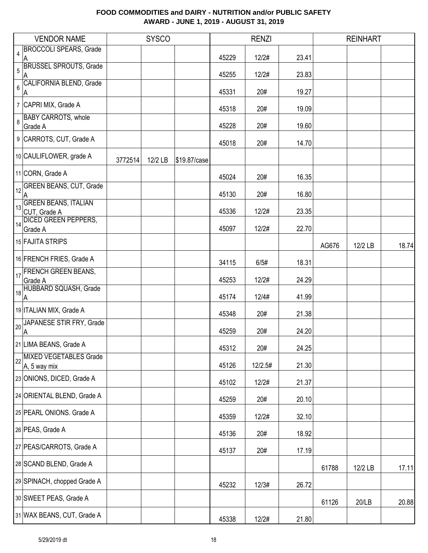| <b>VENDOR NAME</b>                                   |         | <b>SYSCO</b> |              |       | <b>RENZI</b> |       |       | <b>REINHART</b> |       |
|------------------------------------------------------|---------|--------------|--------------|-------|--------------|-------|-------|-----------------|-------|
| <b>BROCCOLI SPEARS, Grade</b><br>$\overline{4}$<br>A |         |              |              | 45229 | 12/2#        | 23.41 |       |                 |       |
| <b>BRUSSEL SPROUTS, Grade</b><br>$\overline{5}$<br>A |         |              |              | 45255 | 12/2#        | 23.83 |       |                 |       |
| <b>CALIFORNIA BLEND, Grade</b><br>6<br>A             |         |              |              | 45331 | 20#          | 19.27 |       |                 |       |
| 7 CAPRI MIX, Grade A                                 |         |              |              | 45318 | 20#          | 19.09 |       |                 |       |
| <b>BABY CARROTS, whole</b><br>8<br>Grade A           |         |              |              | 45228 | 20#          | 19.60 |       |                 |       |
| 9 CARROTS, CUT, Grade A                              |         |              |              | 45018 | 20#          | 14.70 |       |                 |       |
| 10 CAULIFLOWER, grade A                              | 3772514 | 12/2 LB      | \$19.87/case |       |              |       |       |                 |       |
| 11 CORN, Grade A                                     |         |              |              | 45024 | 20#          | 16.35 |       |                 |       |
| 12 GREEN BEANS, CUT, Grade<br>A                      |         |              |              | 45130 | 20#          | 16.80 |       |                 |       |
| <b>GREEN BEANS, ITALIAN</b><br>13<br>CUT, Grade A    |         |              |              | 45336 | 12/2#        | 23.35 |       |                 |       |
| <b>DICED GREEN PEPPERS,</b><br>14<br>Grade A         |         |              |              | 45097 | 12/2#        | 22.70 |       |                 |       |
| 15 FAJITA STRIPS                                     |         |              |              |       |              |       | AG676 | 12/2 LB         | 18.74 |
| 16 FRENCH FRIES, Grade A                             |         |              |              | 34115 | 6/5#         | 18.31 |       |                 |       |
| <b>FRENCH GREEN BEANS,</b><br>17<br>Grade A          |         |              |              | 45253 | 12/2#        | 24.29 |       |                 |       |
| 18 HUBBARD SQUASH, Grade<br>A                        |         |              |              | 45174 | 12/4#        | 41.99 |       |                 |       |
| 19 ITALIAN MIX, Grade A                              |         |              |              | 45348 | 20#          | 21.38 |       |                 |       |
| JAPANESE STIR FRY, Grade<br>20<br>A                  |         |              |              | 45259 | 20#          | 24.20 |       |                 |       |
| 21 LIMA BEANS, Grade A                               |         |              |              | 45312 | 20#          | 24.25 |       |                 |       |
| MIXED VEGETABLES Grade<br>22<br>A, 5 way mix         |         |              |              | 45126 | 12/2.5#      | 21.30 |       |                 |       |
| 23 ONIONS, DICED, Grade A                            |         |              |              | 45102 | 12/2#        | 21.37 |       |                 |       |
| 24 ORIENTAL BLEND, Grade A                           |         |              |              | 45259 | 20#          | 20.10 |       |                 |       |
| 25 PEARL ONIONS. Grade A                             |         |              |              | 45359 | 12/2#        | 32.10 |       |                 |       |
| 26 PEAS, Grade A                                     |         |              |              | 45136 | 20#          | 18.92 |       |                 |       |
| 27 PEAS/CARROTS, Grade A                             |         |              |              | 45137 | 20#          | 17.19 |       |                 |       |
| 28 SCAND BLEND, Grade A                              |         |              |              |       |              |       | 61788 | 12/2 LB         | 17.11 |
| 29 SPINACH, chopped Grade A                          |         |              |              | 45232 | 12/3#        | 26.72 |       |                 |       |
| 30 SWEET PEAS, Grade A                               |         |              |              |       |              |       | 61126 | 20/LB           | 20.88 |
| 31 WAX BEANS, CUT, Grade A                           |         |              |              | 45338 | 12/2#        | 21.80 |       |                 |       |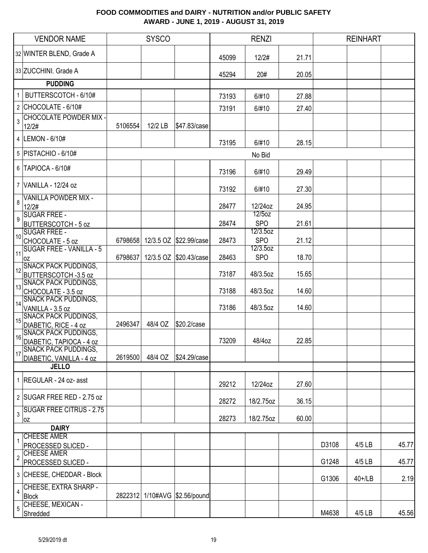|                | <b>VENDOR NAME</b>                                   |         | <b>SYSCO</b> |                        |       | <b>RENZI</b>           |       |       | <b>REINHART</b> |       |
|----------------|------------------------------------------------------|---------|--------------|------------------------|-------|------------------------|-------|-------|-----------------|-------|
|                | 32 WINTER BLEND, Grade A                             |         |              |                        | 45099 | 12/2#                  | 21.71 |       |                 |       |
|                | 33 ZUCCHINI. Grade A                                 |         |              |                        | 45294 | 20#                    | 20.05 |       |                 |       |
|                | <b>PUDDING</b>                                       |         |              |                        |       |                        |       |       |                 |       |
|                | 1   BUTTERSCOTCH - 6/10#                             |         |              |                        | 73193 | 6/#10                  | 27.88 |       |                 |       |
|                | $2$ CHOCOLATE - 6/10#                                |         |              |                        | 73191 | 6/#10                  | 27.40 |       |                 |       |
| 3              | <b>CHOCOLATE POWDER MIX -</b><br>12/2#               | 5106554 | 12/2 LB      | \$47.83/case           |       |                        |       |       |                 |       |
|                | 4   LEMON - 6/10#                                    |         |              |                        | 73195 | 6/#10                  | 28.15 |       |                 |       |
|                | 5   PISTACHIO - 6/10#                                |         |              |                        |       | No Bid                 |       |       |                 |       |
|                | 6 TAPIOCA - 6/10#                                    |         |              |                        | 73196 | 6/#10                  | 29.49 |       |                 |       |
|                | 7 VANILLA - 12/24 oz                                 |         |              |                        | 73192 | 6/#10                  | 27.30 |       |                 |       |
| 8              | <b>VANILLA POWDER MIX -</b><br>12/2#                 |         |              |                        | 28477 | 12/24oz                | 24.95 |       |                 |       |
| 9              | SUGAR FREE -<br><b>BUTTERSCOTCH - 5 oz</b>           |         |              |                        | 28474 | 12/5oz<br><b>SPO</b>   | 21.61 |       |                 |       |
| 10             | <b>SUGAR FREE -</b><br>CHOCOLATE - 5 oz              | 6798658 |              | 12/3.5 OZ \$22.99/case | 28473 | 12/3.5oz<br><b>SPO</b> | 21.12 |       |                 |       |
| 11             | <b>SUGAR FREE - VANILLA - 5</b>                      |         |              |                        |       | 12/3.5oz               |       |       |                 |       |
|                | 0Z<br><b>SNACK PACK PUDDINGS,</b>                    | 6798637 |              | 12/3.5 OZ \$20.43/case | 28463 | <b>SPO</b>             | 18.70 |       |                 |       |
| 12             | BUTTERSCOTCH -3.5 oz                                 |         |              |                        | 73187 | 48/3.5oz               | 15.65 |       |                 |       |
| 13             | <b>SNACK PACK PUDDINGS,</b><br>CHOCOLATE - 3.5 oz    |         |              |                        | 73188 | 48/3.5oz               | 14.60 |       |                 |       |
| 14             | <b>SNACK PACK PUDDINGS,</b><br>VANILLA - 3.5 oz      |         |              |                        | 73186 | 48/3.5oz               | 14.60 |       |                 |       |
| 15             | <b>SNACK PACK PUDDINGS,</b>                          |         | 48/4 OZ      |                        |       |                        |       |       |                 |       |
| 16             | DIABETIC, RICE - 4 oz<br><b>SNACK PACK PUDDINGS,</b> | 2496347 |              | \$20.2/case            |       |                        |       |       |                 |       |
|                | DIABETIC, TAPIOCA - 4 oz<br>SNACK PACK PUDDINGS,     |         |              |                        | 73209 | 48/4oz                 | 22.85 |       |                 |       |
| 17             | DIABETIC, VANILLA - 4 oz                             | 2619500 | 48/4 OZ      | \$24.29/case           |       |                        |       |       |                 |       |
|                | <b>JELLO</b>                                         |         |              |                        |       |                        |       |       |                 |       |
|                | 1 REGULAR - 24 oz- asst                              |         |              |                        | 29212 | 12/24oz                | 27.60 |       |                 |       |
|                | 2 SUGAR FREE RED - 2.75 oz                           |         |              |                        | 28272 | 18/2.75oz              | 36.15 |       |                 |       |
|                | $3$ SUGAR FREE CITRUS - 2.75<br>0Z                   |         |              |                        | 28273 | 18/2.75oz              | 60.00 |       |                 |       |
|                | <b>DAIRY</b>                                         |         |              |                        |       |                        |       |       |                 |       |
|                | <b>CHEESE AMER</b>                                   |         |              |                        |       |                        |       | D3108 | 4/5 LB          | 45.77 |
|                | PROCESSED SLICED -<br><b>CHEESE AMER</b>             |         |              |                        |       |                        |       |       |                 |       |
| $\overline{2}$ | PROCESSED SLICED -                                   |         |              |                        |       |                        |       | G1248 | 4/5 LB          | 45.77 |
|                | 3 CHEESE, CHEDDAR - Block                            |         |              |                        |       |                        |       | G1306 | 40+/LB          | 2.19  |
| 4              | CHEESE, EXTRA SHARP -<br><b>Block</b>                | 2822312 |              | 1/10#AVG \$2.56/pound  |       |                        |       |       |                 |       |
| 5              | CHEESE, MEXICAN -                                    |         |              |                        |       |                        |       |       |                 |       |
|                | Shredded                                             |         |              |                        |       |                        |       | M4638 | 4/5 LB          | 45.56 |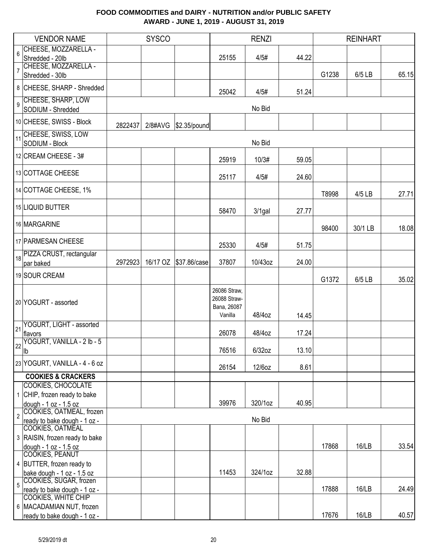|                | <b>VENDOR NAME</b>                                      |         | <b>SYSCO</b> |                        |                                                        | <b>RENZI</b> |       |       | <b>REINHART</b> |       |
|----------------|---------------------------------------------------------|---------|--------------|------------------------|--------------------------------------------------------|--------------|-------|-------|-----------------|-------|
| 6              | CHEESE, MOZZARELLA -                                    |         |              |                        |                                                        |              |       |       |                 |       |
|                | Shredded - 20lb                                         |         |              |                        | 25155                                                  | 4/5#         | 44.22 |       |                 |       |
| $\overline{7}$ | CHEESE, MOZZARELLA -<br>Shredded - 30lb                 |         |              |                        |                                                        |              |       | G1238 | 6/5 LB          | 65.15 |
|                | 8 CHEESE, SHARP - Shredded                              |         |              |                        | 25042                                                  | 4/5#         | 51.24 |       |                 |       |
| $\overline{9}$ | CHEESE, SHARP, LOW<br>SODIUM - Shredded                 |         |              |                        |                                                        | No Bid       |       |       |                 |       |
|                | 10 CHEESE, SWISS - Block                                |         |              |                        |                                                        |              |       |       |                 |       |
| 11             | CHEESE, SWISS, LOW<br>SODIUM - Block                    | 2822437 |              | 2/8#AVG   \$2.35/pound |                                                        | No Bid       |       |       |                 |       |
|                | 12 CREAM CHEESE - 3#                                    |         |              |                        | 25919                                                  | 10/3#        | 59.05 |       |                 |       |
|                | 13 COTTAGE CHEESE                                       |         |              |                        | 25117                                                  | 4/5#         | 24.60 |       |                 |       |
|                | 14 COTTAGE CHEESE, 1%                                   |         |              |                        |                                                        |              |       | T8998 | 4/5 LB          | 27.71 |
|                | 15 LIQUID BUTTER                                        |         |              |                        | 58470                                                  | $3/1$ gal    | 27.77 |       |                 |       |
|                | 16 MARGARINE                                            |         |              |                        |                                                        |              |       | 98400 | 30/1 LB         | 18.08 |
|                | 17 PARMESAN CHEESE                                      |         |              |                        | 25330                                                  | 4/5#         | 51.75 |       |                 |       |
| 18             | PIZZA CRUST, rectangular<br>par baked                   | 2972923 |              |                        | 37807                                                  | 10/43oz      | 24.00 |       |                 |       |
|                | 19 SOUR CREAM                                           |         |              |                        |                                                        |              |       | G1372 | 6/5 LB          | 35.02 |
|                | 20 YOGURT - assorted                                    |         |              |                        | 26086 Straw,<br>26088 Straw-<br>Bana, 26087<br>Vanilla | 48/4oz       | 14.45 |       |                 |       |
| 21             | YOGURT, LIGHT - assorted                                |         |              |                        |                                                        |              |       |       |                 |       |
|                | flavors<br>YOGURT, VANILLA - 2 lb - 5                   |         |              |                        | 26078                                                  | 48/4oz       | 17.24 |       |                 |       |
|                | $\frac{122}{10}$                                        |         |              |                        | 76516                                                  | $6/32$ oz    | 13.10 |       |                 |       |
|                | 23 YOGURT, VANILLA - 4 - 6 oz                           |         |              |                        | 26154                                                  | 12/6oz       | 8.61  |       |                 |       |
|                | <b>COOKIES &amp; CRACKERS</b>                           |         |              |                        |                                                        |              |       |       |                 |       |
| $\mathbf{1}$   | <b>COOKIES, CHOCOLATE</b><br>CHIP, frozen ready to bake |         |              |                        |                                                        |              |       |       |                 |       |
|                | dough - 1 oz - 1.5 oz                                   |         |              |                        | 39976                                                  | 320/1oz      | 40.95 |       |                 |       |
| $\overline{2}$ | COOKIES, OATMEAL, frozen                                |         |              |                        |                                                        |              |       |       |                 |       |
|                | ready to bake dough - 1 oz -<br>COOKIES, OATMEAL        |         |              |                        |                                                        | No Bid       |       |       |                 |       |
|                | 3 RAISIN, frozen ready to bake                          |         |              |                        |                                                        |              |       |       |                 |       |
|                | dough - 1 oz - 1.5 oz                                   |         |              |                        |                                                        |              |       | 17868 | <b>16/LB</b>    | 33.54 |
|                | COOKIES, PEANUT                                         |         |              |                        |                                                        |              |       |       |                 |       |
|                | 4 BUTTER, frozen ready to<br>bake dough - 1 oz - 1.5 oz |         |              |                        | 11453                                                  | 324/1oz      | 32.88 |       |                 |       |
| 5              | COOKIES, SUGAR, frozen                                  |         |              |                        |                                                        |              |       |       |                 |       |
|                | ready to bake dough - 1 oz -                            |         |              |                        |                                                        |              |       | 17888 | 16/LB           | 24.49 |
|                | <b>COOKIES, WHITE CHIP</b><br>6 MACADAMIAN NUT, frozen  |         |              |                        |                                                        |              |       |       |                 |       |
|                | ready to bake dough - 1 oz -                            |         |              |                        |                                                        |              |       | 17676 | 16/LB           | 40.57 |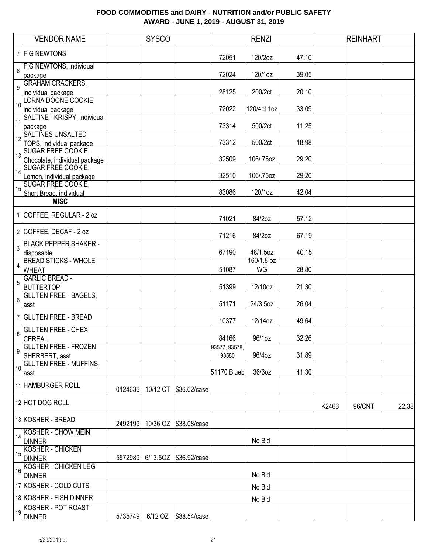| 7   FIG NEWTONS         |                                                                                                                                                                                                                                                                                                                                                                                                                                                                                                                                                                                                                                                                                                                                                                                                                                                                                                                                                                                                                                                                                                       |          |                               |                                                       |                                        |                                                         |       |        | <b>REINHART</b> |
|-------------------------|-------------------------------------------------------------------------------------------------------------------------------------------------------------------------------------------------------------------------------------------------------------------------------------------------------------------------------------------------------------------------------------------------------------------------------------------------------------------------------------------------------------------------------------------------------------------------------------------------------------------------------------------------------------------------------------------------------------------------------------------------------------------------------------------------------------------------------------------------------------------------------------------------------------------------------------------------------------------------------------------------------------------------------------------------------------------------------------------------------|----------|-------------------------------|-------------------------------------------------------|----------------------------------------|---------------------------------------------------------|-------|--------|-----------------|
|                         |                                                                                                                                                                                                                                                                                                                                                                                                                                                                                                                                                                                                                                                                                                                                                                                                                                                                                                                                                                                                                                                                                                       |          |                               | 72051                                                 | 120/2oz                                | 47.10                                                   |       |        |                 |
| FIG NEWTONS, individual |                                                                                                                                                                                                                                                                                                                                                                                                                                                                                                                                                                                                                                                                                                                                                                                                                                                                                                                                                                                                                                                                                                       |          |                               | 72024                                                 | 120/1oz                                | 39.05                                                   |       |        |                 |
|                         |                                                                                                                                                                                                                                                                                                                                                                                                                                                                                                                                                                                                                                                                                                                                                                                                                                                                                                                                                                                                                                                                                                       |          |                               | 28125                                                 | 200/2ct                                | 20.10                                                   |       |        |                 |
|                         |                                                                                                                                                                                                                                                                                                                                                                                                                                                                                                                                                                                                                                                                                                                                                                                                                                                                                                                                                                                                                                                                                                       |          |                               | 72022                                                 | 120/4ct 1oz                            | 33.09                                                   |       |        |                 |
|                         |                                                                                                                                                                                                                                                                                                                                                                                                                                                                                                                                                                                                                                                                                                                                                                                                                                                                                                                                                                                                                                                                                                       |          |                               | 73314                                                 | 500/2ct                                | 11.25                                                   |       |        |                 |
|                         |                                                                                                                                                                                                                                                                                                                                                                                                                                                                                                                                                                                                                                                                                                                                                                                                                                                                                                                                                                                                                                                                                                       |          |                               | 73312                                                 | 500/2ct                                | 18.98                                                   |       |        |                 |
|                         |                                                                                                                                                                                                                                                                                                                                                                                                                                                                                                                                                                                                                                                                                                                                                                                                                                                                                                                                                                                                                                                                                                       |          |                               | 32509                                                 | 106/.75oz                              | 29.20                                                   |       |        |                 |
|                         |                                                                                                                                                                                                                                                                                                                                                                                                                                                                                                                                                                                                                                                                                                                                                                                                                                                                                                                                                                                                                                                                                                       |          |                               | 32510                                                 | 106/.75oz                              | 29.20                                                   |       |        |                 |
|                         |                                                                                                                                                                                                                                                                                                                                                                                                                                                                                                                                                                                                                                                                                                                                                                                                                                                                                                                                                                                                                                                                                                       |          |                               | 83086                                                 | 120/1oz                                | 42.04                                                   |       |        |                 |
|                         |                                                                                                                                                                                                                                                                                                                                                                                                                                                                                                                                                                                                                                                                                                                                                                                                                                                                                                                                                                                                                                                                                                       |          |                               |                                                       |                                        |                                                         |       |        |                 |
|                         |                                                                                                                                                                                                                                                                                                                                                                                                                                                                                                                                                                                                                                                                                                                                                                                                                                                                                                                                                                                                                                                                                                       |          |                               | 71021                                                 | 84/2oz                                 | 57.12                                                   |       |        |                 |
|                         |                                                                                                                                                                                                                                                                                                                                                                                                                                                                                                                                                                                                                                                                                                                                                                                                                                                                                                                                                                                                                                                                                                       |          |                               | 71216                                                 | 84/2oz                                 | 67.19                                                   |       |        |                 |
|                         |                                                                                                                                                                                                                                                                                                                                                                                                                                                                                                                                                                                                                                                                                                                                                                                                                                                                                                                                                                                                                                                                                                       |          |                               | 67190                                                 | 48/1.5oz                               | 40.15                                                   |       |        |                 |
|                         |                                                                                                                                                                                                                                                                                                                                                                                                                                                                                                                                                                                                                                                                                                                                                                                                                                                                                                                                                                                                                                                                                                       |          |                               | 51087                                                 | WG                                     | 28.80                                                   |       |        |                 |
|                         |                                                                                                                                                                                                                                                                                                                                                                                                                                                                                                                                                                                                                                                                                                                                                                                                                                                                                                                                                                                                                                                                                                       |          |                               | 51399                                                 | 12/10oz                                | 21.30                                                   |       |        |                 |
|                         |                                                                                                                                                                                                                                                                                                                                                                                                                                                                                                                                                                                                                                                                                                                                                                                                                                                                                                                                                                                                                                                                                                       |          |                               | 51171                                                 | 24/3.5oz                               | 26.04                                                   |       |        |                 |
|                         |                                                                                                                                                                                                                                                                                                                                                                                                                                                                                                                                                                                                                                                                                                                                                                                                                                                                                                                                                                                                                                                                                                       |          |                               | 10377                                                 | 12/14oz                                | 49.64                                                   |       |        |                 |
|                         |                                                                                                                                                                                                                                                                                                                                                                                                                                                                                                                                                                                                                                                                                                                                                                                                                                                                                                                                                                                                                                                                                                       |          |                               | 84166                                                 | 96/1oz                                 | 32.26                                                   |       |        |                 |
|                         |                                                                                                                                                                                                                                                                                                                                                                                                                                                                                                                                                                                                                                                                                                                                                                                                                                                                                                                                                                                                                                                                                                       |          |                               | 93580                                                 | 96/4oz                                 | 31.89                                                   |       |        |                 |
|                         |                                                                                                                                                                                                                                                                                                                                                                                                                                                                                                                                                                                                                                                                                                                                                                                                                                                                                                                                                                                                                                                                                                       |          |                               |                                                       | 36/3oz                                 | 41.30                                                   |       |        |                 |
|                         | 0124636                                                                                                                                                                                                                                                                                                                                                                                                                                                                                                                                                                                                                                                                                                                                                                                                                                                                                                                                                                                                                                                                                               | 10/12 CT |                               |                                                       |                                        |                                                         |       |        |                 |
|                         |                                                                                                                                                                                                                                                                                                                                                                                                                                                                                                                                                                                                                                                                                                                                                                                                                                                                                                                                                                                                                                                                                                       |          |                               |                                                       |                                        |                                                         | K2466 | 96/CNT | 22.38           |
|                         |                                                                                                                                                                                                                                                                                                                                                                                                                                                                                                                                                                                                                                                                                                                                                                                                                                                                                                                                                                                                                                                                                                       |          |                               |                                                       |                                        |                                                         |       |        |                 |
|                         |                                                                                                                                                                                                                                                                                                                                                                                                                                                                                                                                                                                                                                                                                                                                                                                                                                                                                                                                                                                                                                                                                                       |          |                               |                                                       |                                        |                                                         |       |        |                 |
|                         | 5572989                                                                                                                                                                                                                                                                                                                                                                                                                                                                                                                                                                                                                                                                                                                                                                                                                                                                                                                                                                                                                                                                                               |          |                               |                                                       |                                        |                                                         |       |        |                 |
|                         |                                                                                                                                                                                                                                                                                                                                                                                                                                                                                                                                                                                                                                                                                                                                                                                                                                                                                                                                                                                                                                                                                                       |          |                               |                                                       |                                        |                                                         |       |        |                 |
|                         |                                                                                                                                                                                                                                                                                                                                                                                                                                                                                                                                                                                                                                                                                                                                                                                                                                                                                                                                                                                                                                                                                                       |          |                               |                                                       |                                        |                                                         |       |        |                 |
|                         |                                                                                                                                                                                                                                                                                                                                                                                                                                                                                                                                                                                                                                                                                                                                                                                                                                                                                                                                                                                                                                                                                                       |          |                               |                                                       | No Bid                                 |                                                         |       |        |                 |
|                         |                                                                                                                                                                                                                                                                                                                                                                                                                                                                                                                                                                                                                                                                                                                                                                                                                                                                                                                                                                                                                                                                                                       |          |                               |                                                       |                                        |                                                         |       |        |                 |
|                         | package<br><b>GRAHAM CRACKERS,</b><br>individual package<br>LORNA DOONE COOKIE,<br>individual package<br>SALTINE - KRISPY, individual<br>package<br><b>SALTINES UNSALTED</b><br>TOPS, individual package<br>SUGAR FREE COOKIE,<br>Chocolate, individual package<br><b>SUGAR FREE COOKIE,</b><br>Lemon, individual package<br><b>SUGAR FREE COOKIE,</b><br>Short Bread, individual<br><b>MISC</b><br>1 COFFEE, REGULAR - 2 oz<br>2 COFFEE, DECAF - 2 oz<br><b>BLACK PEPPER SHAKER -</b><br>disposable<br><b>BREAD STICKS - WHOLE</b><br><b>WHEAT</b><br><b>GARLIC BREAD -</b><br><b>BUTTERTOP</b><br><b>GLUTEN FREE - BAGELS,</b><br>asst<br>7 GLUTEN FREE - BREAD<br><b>GLUTEN FREE - CHEX</b><br><b>CEREAL</b><br><b>GLUTEN FREE - FROZEN</b><br>SHERBERT, asst<br><b>GLUTEN FREE - MUFFINS,</b><br>∣asst<br>11 HAMBURGER ROLL<br>12 HOT DOG ROLL<br>13 KOSHER - BREAD<br>KOSHER - CHOW MEIN<br><b>DINNER</b><br>KOSHER - CHICKEN<br><b>DINNER</b><br><b>KOSHER - CHICKEN LEG</b><br><b>DINNER</b><br>17 KOSHER - COLD CUTS<br>18 KOSHER - FISH DINNER<br><b>KOSHER - POT ROAST</b><br><b>DINNER</b> |          | 2492199<br>5735749<br>6/12 OZ | \$36.02/case<br>10/36 OZ \$38.08/case<br>\$38.54/case | 93577, 93578,<br>6/13.5OZ \$36.92/case | 160/1.8 oz<br>51170 Blueb<br>No Bid<br>No Bid<br>No Bid |       |        |                 |